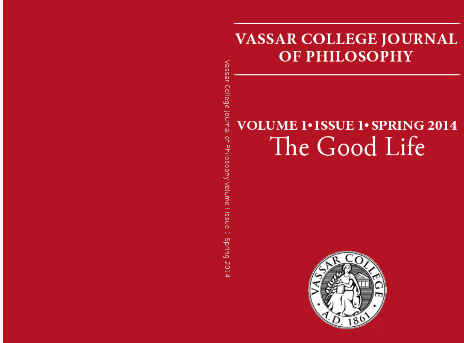## **VASSAR COLLEGE JOURNAL OF PHILOSOPHY**

# **VOLUME 1. ISSUE 1. SPRING 2014** The Good Life

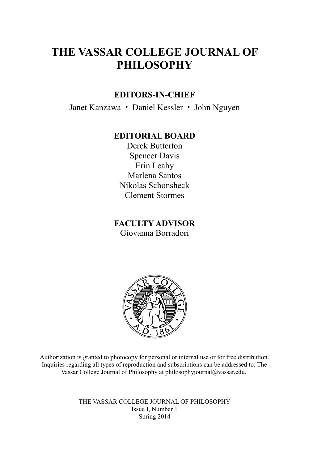## **THE VASSAR COLLEGE JOURNAL OF PHILOSOPHY**

#### **EDITORS-IN-CHIEF**

Janet Kanzawa **·** Daniel Kessler **·** John Nguyen

#### **EDITORIAL BOARD**

Derek Butterton Spencer Davis Erin Leahy Marlena Santos Nikolas Schonsheck Clement Stormes

**FACULTY ADVISOR** Giovanna Borradori



Authorization is granted to photocopy for personal or internal use or for free distribution. Inquiries regarding all types of reproduction and subscriptions can be addressed to: The Vassar College Journal of Philosophy at philosophyjournal@vassar.edu.

> THE VASSAR COLLEGE JOURNAL OF PHILOSOPHY Issue I, Number 1 Spring 2014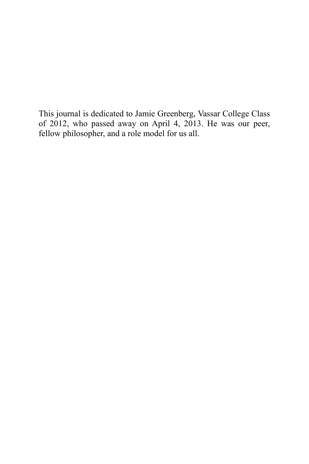This journal is dedicated to Jamie Greenberg, Vassar College Class of 2012, who passed away on April 4, 2013. He was our peer, fellow philosopher, and a role model for us all.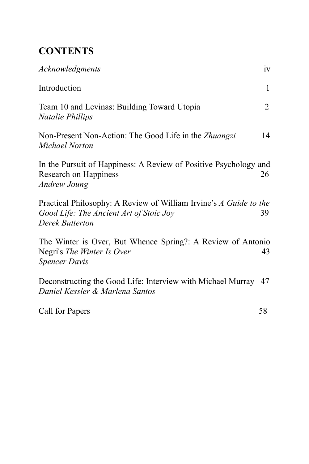## **CONTENTS**

| Acknowledgments                                                                                                                 | iv             |
|---------------------------------------------------------------------------------------------------------------------------------|----------------|
| Introduction                                                                                                                    | $\mathbf{1}$   |
| Team 10 and Levinas: Building Toward Utopia<br>Natalie Phillips                                                                 | $\overline{2}$ |
| Non-Present Non-Action: The Good Life in the Zhuangzi<br>Michael Norton                                                         | 14             |
| In the Pursuit of Happiness: A Review of Positive Psychology and<br>Research on Happiness<br><b>Andrew Joung</b>                | 26             |
| Practical Philosophy: A Review of William Irvine's A Guide to the<br>Good Life: The Ancient Art of Stoic Joy<br>Derek Butterton | 39             |
| The Winter is Over, But Whence Spring?: A Review of Antonio<br>Negri's The Winter Is Over<br><b>Spencer Davis</b>               | 43             |
| Deconstructing the Good Life: Interview with Michael Murray 47<br>Daniel Kessler & Marlena Santos                               |                |

Call for Papers 58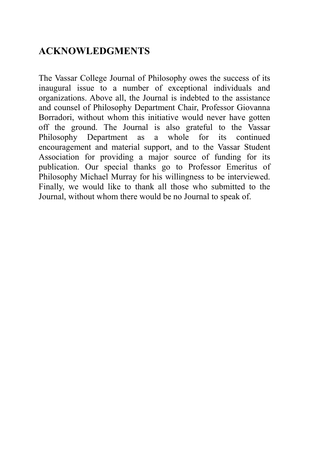## **ACKNOWLEDGMENTS**

The Vassar College Journal of Philosophy owes the success of its inaugural issue to a number of exceptional individuals and organizations. Above all, the Journal is indebted to the assistance and counsel of Philosophy Department Chair, Professor Giovanna Borradori, without whom this initiative would never have gotten off the ground. The Journal is also grateful to the Vassar Philosophy Department as a whole for its continued encouragement and material support, and to the Vassar Student Association for providing a major source of funding for its publication. Our special thanks go to Professor Emeritus of Philosophy Michael Murray for his willingness to be interviewed. Finally, we would like to thank all those who submitted to the Journal, without whom there would be no Journal to speak of.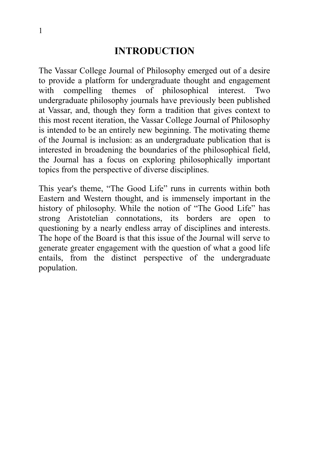## **INTRODUCTION**

The Vassar College Journal of Philosophy emerged out of a desire to provide a platform for undergraduate thought and engagement with compelling themes of philosophical interest. Two undergraduate philosophy journals have previously been published at Vassar, and, though they form a tradition that gives context to this most recent iteration, the Vassar College Journal of Philosophy is intended to be an entirely new beginning. The motivating theme of the Journal is inclusion: as an undergraduate publication that is interested in broadening the boundaries of the philosophical field, the Journal has a focus on exploring philosophically important topics from the perspective of diverse disciplines.

This year's theme, "The Good Life" runs in currents within both Eastern and Western thought, and is immensely important in the history of philosophy. While the notion of "The Good Life" has strong Aristotelian connotations, its borders are open to questioning by a nearly endless array of disciplines and interests. The hope of the Board is that this issue of the Journal will serve to generate greater engagement with the question of what a good life entails, from the distinct perspective of the undergraduate population.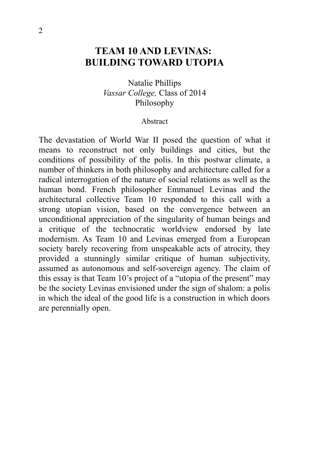## **TEAM 10 AND LEVINAS: BUILDING TOWARD UTOPIA**

Natalie Phillips *Vassar College,* Class of 2014 Philosophy

#### Abstract

The devastation of World War II posed the question of what it means to reconstruct not only buildings and cities, but the conditions of possibility of the polis. In this postwar climate, a number of thinkers in both philosophy and architecture called for a radical interrogation of the nature of social relations as well as the human bond. French philosopher Emmanuel Levinas and the architectural collective Team 10 responded to this call with a strong utopian vision, based on the convergence between an unconditional appreciation of the singularity of human beings and a critique of the technocratic worldview endorsed by late modernism. As Team 10 and Levinas emerged from a European society barely recovering from unspeakable acts of atrocity, they provided a stunningly similar critique of human subjectivity, assumed as autonomous and self-sovereign agency. The claim of this essay is that Team 10's project of a "utopia of the present" may be the society Levinas envisioned under the sign of shalom: a polis in which the ideal of the good life is a construction in which doors are perennially open.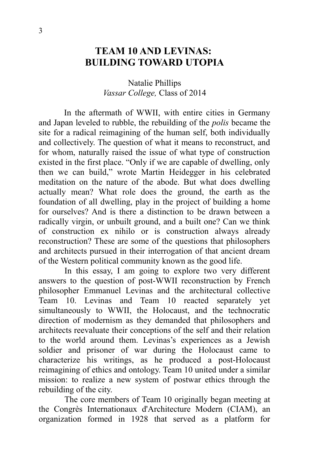## **TEAM 10 AND LEVINAS: BUILDING TOWARD UTOPIA**

#### Natalie Phillips *Vassar College,* Class of 2014

In the aftermath of WWII, with entire cities in Germany and Japan leveled to rubble, the rebuilding of the *polis* became the site for a radical reimagining of the human self, both individually and collectively. The question of what it means to reconstruct, and for whom, naturally raised the issue of what type of construction existed in the first place. "Only if we are capable of dwelling, only then we can build," wrote Martin Heidegger in his celebrated meditation on the nature of the abode. But what does dwelling actually mean? What role does the ground, the earth as the foundation of all dwelling, play in the project of building a home for ourselves? And is there a distinction to be drawn between a radically virgin, or unbuilt ground, and a built one? Can we think of construction ex nihilo or is construction always already reconstruction? These are some of the questions that philosophers and architects pursued in their interrogation of that ancient dream of the Western political community known as the good life.

In this essay, I am going to explore two very different answers to the question of post-WWII reconstruction by French philosopher Emmanuel Levinas and the architectural collective Team 10. Levinas and Team 10 reacted separately yet simultaneously to WWII, the Holocaust, and the technocratic direction of modernism as they demanded that philosophers and architects reevaluate their conceptions of the self and their relation to the world around them. Levinas's experiences as a Jewish soldier and prisoner of war during the Holocaust came to characterize his writings, as he produced a post-Holocaust reimagining of ethics and ontology. Team 10 united under a similar mission: to realize a new system of postwar ethics through the rebuilding of the city.

The core members of Team 10 originally began meeting at the Congrès Internationaux d'Architecture Modern (CIAM), an organization formed in 1928 that served as a platform for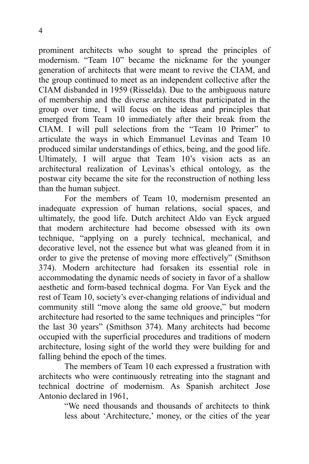prominent architects who sought to spread the principles of modernism. "Team 10" became the nickname for the younger generation of architects that were meant to revive the CIAM, and the group continued to meet as an independent collective after the CIAM disbanded in 1959 (Risselda). Due to the ambiguous nature of membership and the diverse architects that participated in the group over time, I will focus on the ideas and principles that emerged from Team 10 immediately after their break from the CIAM. I will pull selections from the "Team 10 Primer" to articulate the ways in which Emmanuel Levinas and Team 10 produced similar understandings of ethics, being, and the good life. Ultimately, I will argue that Team 10's vision acts as an architectural realization of Levinas's ethical ontology, as the postwar city became the site for the reconstruction of nothing less than the human subject.

For the members of Team 10, modernism presented an inadequate expression of human relations, social spaces, and ultimately, the good life. Dutch architect Aldo van Eyck argued that modern architecture had become obsessed with its own technique, "applying on a purely technical, mechanical, and decorative level, not the essence but what was gleaned from it in order to give the pretense of moving more effectively" (Smithson 374). Modern architecture had forsaken its essential role in accommodating the dynamic needs of society in favor of a shallow aesthetic and form-based technical dogma. For Van Eyck and the rest of Team 10, society's ever-changing relations of individual and community still "move along the same old groove," but modern architecture had resorted to the same techniques and principles "for the last 30 years" (Smithson 374). Many architects had become occupied with the superficial procedures and traditions of modern architecture, losing sight of the world they were building for and falling behind the epoch of the times.

The members of Team 10 each expressed a frustration with architects who were continuously retreating into the stagnant and technical doctrine of modernism. As Spanish architect Jose Antonio declared in 1961,

> "We need thousands and thousands of architects to think less about 'Architecture,' money, or the cities of the year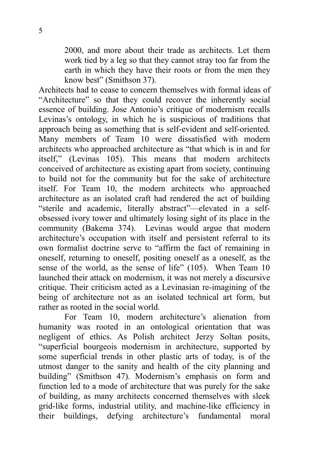2000, and more about their trade as architects. Let them work tied by a leg so that they cannot stray too far from the earth in which they have their roots or from the men they know best" (Smithson 37).

Architects had to cease to concern themselves with formal ideas of "Architecture" so that they could recover the inherently social essence of building. Jose Antonio's critique of modernism recalls Levinas's ontology, in which he is suspicious of traditions that approach being as something that is self-evident and self-oriented. Many members of Team 10 were dissatisfied with modern architects who approached architecture as "that which is in and for itself," (Levinas 105). This means that modern architects conceived of architecture as existing apart from society, continuing to build not for the community but for the sake of architecture itself. For Team 10, the modern architects who approached architecture as an isolated craft had rendered the act of building "sterile and academic, literally abstract"—elevated in a selfobsessed ivory tower and ultimately losing sight of its place in the community (Bakema 374). Levinas would argue that modern architecture's occupation with itself and persistent referral to its own formalist doctrine serve to "affirm the fact of remaining in oneself, returning to oneself, positing oneself as a oneself, as the sense of the world, as the sense of life" (105). When Team 10 launched their attack on modernism, it was not merely a discursive critique. Their criticism acted as a Levinasian re-imagining of the being of architecture not as an isolated technical art form, but rather as rooted in the social world.

For Team 10, modern architecture's alienation from humanity was rooted in an ontological orientation that was negligent of ethics. As Polish architect Jerzy Soltan posits, "superficial bourgeois modernism in architecture, supported by some superficial trends in other plastic arts of today, is of the utmost danger to the sanity and health of the city planning and building" (Smithson 47). Modernism's emphasis on form and function led to a mode of architecture that was purely for the sake of building, as many architects concerned themselves with sleek grid-like forms, industrial utility, and machine-like efficiency in their buildings, defying architecture's fundamental moral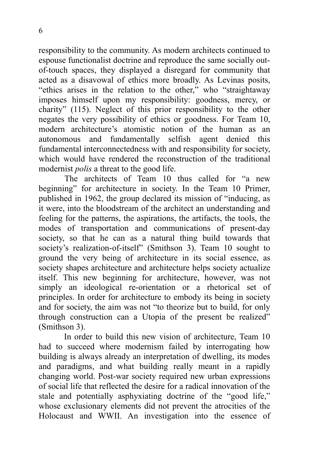responsibility to the community. As modern architects continued to espouse functionalist doctrine and reproduce the same socially outof-touch spaces, they displayed a disregard for community that acted as a disavowal of ethics more broadly. As Levinas posits, "ethics arises in the relation to the other," who "straightaway imposes himself upon my responsibility: goodness, mercy, or charity" (115). Neglect of this prior responsibility to the other negates the very possibility of ethics or goodness. For Team 10, modern architecture's atomistic notion of the human as an autonomous and fundamentally selfish agent denied this fundamental interconnectedness with and responsibility for society, which would have rendered the reconstruction of the traditional modernist *polis* a threat to the good life.

The architects of Team 10 thus called for "a new beginning" for architecture in society. In the Team 10 Primer, published in 1962, the group declared its mission of "inducing, as it were, into the bloodstream of the architect an understanding and feeling for the patterns, the aspirations, the artifacts, the tools, the modes of transportation and communications of present-day society, so that he can as a natural thing build towards that society's realization-of-itself" (Smithson 3). Team 10 sought to ground the very being of architecture in its social essence, as society shapes architecture and architecture helps society actualize itself. This new beginning for architecture, however, was not simply an ideological re-orientation or a rhetorical set of principles. In order for architecture to embody its being in society and for society, the aim was not "to theorize but to build, for only through construction can a Utopia of the present be realized" (Smithson 3).

In order to build this new vision of architecture, Team 10 had to succeed where modernism failed by interrogating how building is always already an interpretation of dwelling, its modes and paradigms, and what building really meant in a rapidly changing world. Post-war society required new urban expressions of social life that reflected the desire for a radical innovation of the stale and potentially asphyxiating doctrine of the "good life," whose exclusionary elements did not prevent the atrocities of the Holocaust and WWII. An investigation into the essence of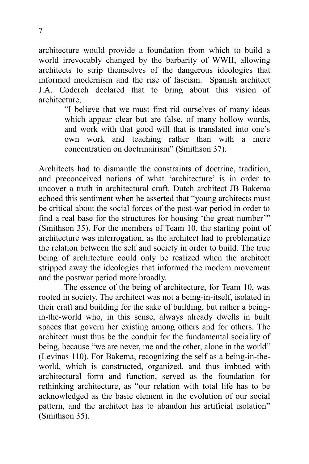architecture would provide a foundation from which to build a world irrevocably changed by the barbarity of WWII, allowing architects to strip themselves of the dangerous ideologies that informed modernism and the rise of fascism. Spanish architect J.A. Coderch declared that to bring about this vision of architecture,

> "I believe that we must first rid ourselves of many ideas which appear clear but are false, of many hollow words, and work with that good will that is translated into one's own work and teaching rather than with a mere concentration on doctrinairism" (Smithson 37).

Architects had to dismantle the constraints of doctrine, tradition, and preconceived notions of what 'architecture' is in order to uncover a truth in architectural craft. Dutch architect JB Bakema echoed this sentiment when he asserted that "young architects must be critical about the social forces of the post-war period in order to find a real base for the structures for housing 'the great number'" (Smithson 35). For the members of Team 10, the starting point of architecture was interrogation, as the architect had to problematize the relation between the self and society in order to build. The true being of architecture could only be realized when the architect stripped away the ideologies that informed the modern movement and the postwar period more broadly.

The essence of the being of architecture, for Team 10, was rooted in society. The architect was not a being-in-itself, isolated in their craft and building for the sake of building, but rather a beingin-the-world who, in this sense, always already dwells in built spaces that govern her existing among others and for others. The architect must thus be the conduit for the fundamental sociality of being, because "we are never, me and the other, alone in the world" (Levinas 110). For Bakema, recognizing the self as a being-in-theworld, which is constructed, organized, and thus imbued with architectural form and function, served as the foundation for rethinking architecture, as "our relation with total life has to be acknowledged as the basic element in the evolution of our social pattern, and the architect has to abandon his artificial isolation" (Smithson 35).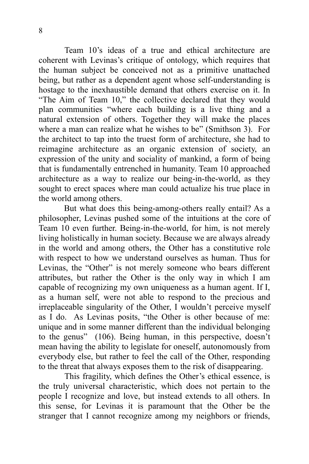Team 10's ideas of a true and ethical architecture are coherent with Levinas's critique of ontology, which requires that the human subject be conceived not as a primitive unattached being, but rather as a dependent agent whose self-understanding is hostage to the inexhaustible demand that others exercise on it. In "The Aim of Team 10," the collective declared that they would plan communities "where each building is a live thing and a natural extension of others. Together they will make the places where a man can realize what he wishes to be" (Smithson 3). For the architect to tap into the truest form of architecture, she had to reimagine architecture as an organic extension of society, an expression of the unity and sociality of mankind, a form of being that is fundamentally entrenched in humanity. Team 10 approached architecture as a way to realize our being-in-the-world, as they sought to erect spaces where man could actualize his true place in the world among others.

But what does this being-among-others really entail? As a philosopher, Levinas pushed some of the intuitions at the core of Team 10 even further. Being-in-the-world, for him, is not merely living holistically in human society. Because we are always already in the world and among others, the Other has a constitutive role with respect to how we understand ourselves as human. Thus for Levinas, the "Other" is not merely someone who bears different attributes, but rather the Other is the only way in which I am capable of recognizing my own uniqueness as a human agent. If I, as a human self, were not able to respond to the precious and irreplaceable singularity of the Other, I wouldn't perceive myself as I do. As Levinas posits, "the Other is other because of me: unique and in some manner different than the individual belonging to the genus" (106). Being human, in this perspective, doesn't mean having the ability to legislate for oneself, autonomously from everybody else, but rather to feel the call of the Other, responding to the threat that always exposes them to the risk of disappearing.

This fragility, which defines the Other's ethical essence, is the truly universal characteristic, which does not pertain to the people I recognize and love, but instead extends to all others. In this sense, for Levinas it is paramount that the Other be the stranger that I cannot recognize among my neighbors or friends,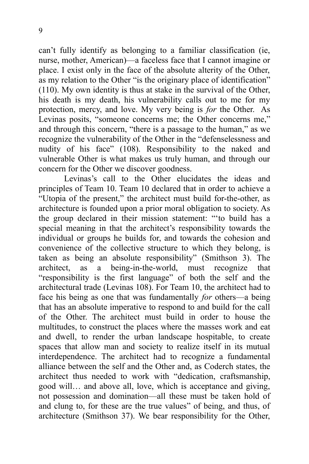can't fully identify as belonging to a familiar classification (ie, nurse, mother, American)—a faceless face that I cannot imagine or place. I exist only in the face of the absolute alterity of the Other, as my relation to the Other "is the originary place of identification" (110). My own identity is thus at stake in the survival of the Other, his death is my death, his vulnerability calls out to me for my protection, mercy, and love. My very being is *for* the Other. As Levinas posits, "someone concerns me; the Other concerns me," and through this concern, "there is a passage to the human," as we recognize the vulnerability of the Other in the "defenselessness and nudity of his face" (108). Responsibility to the naked and vulnerable Other is what makes us truly human, and through our concern for the Other we discover goodness.

Levinas's call to the Other elucidates the ideas and principles of Team 10. Team 10 declared that in order to achieve a "Utopia of the present," the architect must build for-the-other, as architecture is founded upon a prior moral obligation to society. As the group declared in their mission statement: "'to build has a special meaning in that the architect's responsibility towards the individual or groups he builds for, and towards the cohesion and convenience of the collective structure to which they belong, is taken as being an absolute responsibility" (Smithson 3). The architect, as a being-in-the-world, must recognize that "responsibility is the first language" of both the self and the architectural trade (Levinas 108). For Team 10, the architect had to face his being as one that was fundamentally *for* others—a being that has an absolute imperative to respond to and build for the call of the Other. The architect must build in order to house the multitudes, to construct the places where the masses work and eat and dwell, to render the urban landscape hospitable, to create spaces that allow man and society to realize itself in its mutual interdependence. The architect had to recognize a fundamental alliance between the self and the Other and, as Coderch states, the architect thus needed to work with "dedication, craftsmanship, good will… and above all, love, which is acceptance and giving, not possession and domination—all these must be taken hold of and clung to, for these are the true values" of being, and thus, of architecture (Smithson 37). We bear responsibility for the Other,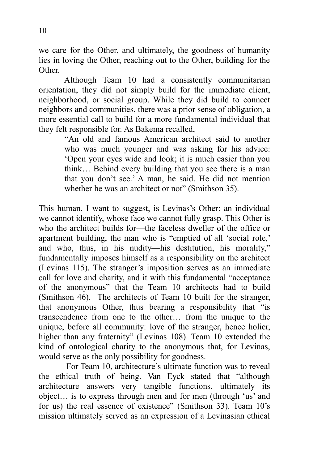we care for the Other, and ultimately, the goodness of humanity lies in loving the Other, reaching out to the Other, building for the Other.

Although Team 10 had a consistently communitarian orientation, they did not simply build for the immediate client, neighborhood, or social group. While they did build to connect neighbors and communities, there was a prior sense of obligation, a more essential call to build for a more fundamental individual that they felt responsible for. As Bakema recalled,

> "An old and famous American architect said to another who was much younger and was asking for his advice: 'Open your eyes wide and look; it is much easier than you think… Behind every building that you see there is a man that you don't see.' A man, he said. He did not mention whether he was an architect or not" (Smithson 35).

This human, I want to suggest, is Levinas's Other: an individual we cannot identify, whose face we cannot fully grasp. This Other is who the architect builds for—the faceless dweller of the office or apartment building, the man who is "emptied of all 'social role,' and who, thus, in his nudity—his destitution, his morality," fundamentally imposes himself as a responsibility on the architect (Levinas 115). The stranger's imposition serves as an immediate call for love and charity, and it with this fundamental "acceptance of the anonymous" that the Team 10 architects had to build (Smithson 46). The architects of Team 10 built for the stranger, that anonymous Other, thus bearing a responsibility that "is transcendence from one to the other… from the unique to the unique, before all community: love of the stranger, hence holier, higher than any fraternity" (Levinas 108). Team 10 extended the kind of ontological charity to the anonymous that, for Levinas, would serve as the only possibility for goodness.

 For Team 10, architecture's ultimate function was to reveal the ethical truth of being. Van Eyck stated that "although architecture answers very tangible functions, ultimately its object… is to express through men and for men (through 'us' and for us) the real essence of existence" (Smithson 33). Team 10's mission ultimately served as an expression of a Levinasian ethical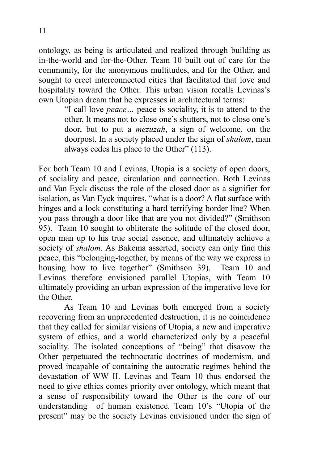ontology, as being is articulated and realized through building as in-the-world and for-the-Other. Team 10 built out of care for the community, for the anonymous multitudes, and for the Other, and sought to erect interconnected cities that facilitated that love and hospitality toward the Other. This urban vision recalls Levinas's own Utopian dream that he expresses in architectural terms:

"I call love *peace…* peace is sociality, it is to attend to the other. It means not to close one's shutters, not to close one's door, but to put a *mezuzah*, a sign of welcome, on the doorpost. In a society placed under the sign of *shalom*, man always cedes his place to the Other" (113).

For both Team 10 and Levinas, Utopia is a society of open doors, of sociality and peace*,* circulation and connection. Both Levinas and Van Eyck discuss the role of the closed door as a signifier for isolation, as Van Eyck inquires, "what is a door? A flat surface with hinges and a lock constituting a hard terrifying border line? When you pass through a door like that are you not divided?" (Smithson 95). Team 10 sought to obliterate the solitude of the closed door, open man up to his true social essence, and ultimately achieve a society of *shalom.* As Bakema asserted, society can only find this peace, this "belonging-together, by means of the way we express in housing how to live together" (Smithson 39). Team 10 and Levinas therefore envisioned parallel Utopias, with Team 10 ultimately providing an urban expression of the imperative love for the Other.

As Team 10 and Levinas both emerged from a society recovering from an unprecedented destruction, it is no coincidence that they called for similar visions of Utopia, a new and imperative system of ethics, and a world characterized only by a peaceful sociality. The isolated conceptions of "being" that disavow the Other perpetuated the technocratic doctrines of modernism, and proved incapable of containing the autocratic regimes behind the devastation of WW II. Levinas and Team 10 thus endorsed the need to give ethics comes priority over ontology, which meant that a sense of responsibility toward the Other is the core of our understanding of human existence. Team 10's "Utopia of the present" may be the society Levinas envisioned under the sign of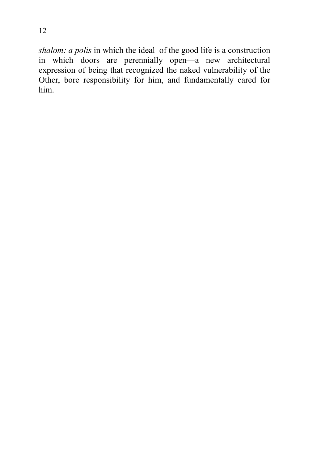*shalom: a polis* in which the ideal of the good life is a construction in which doors are perennially open—a new architectural expression of being that recognized the naked vulnerability of the Other, bore responsibility for him, and fundamentally cared for him.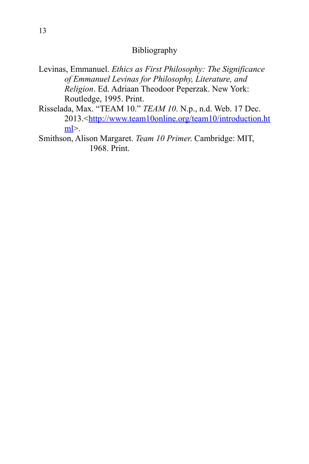#### Bibliography

- Levinas, Emmanuel. *Ethics as First Philosophy: The Significance of Emmanuel Levinas for Philosophy, Literature, and Religion*. Ed. Adriaan Theodoor Peperzak. New York: Routledge, 1995. Print.
- Risselada, Max. "TEAM 10." *TEAM 10*. N.p., n.d. Web. 17 Dec. 2013.[< http://www.team10online.org/team10/](http://www.team10online.org/team10/)[introduction.ht](http://www.team10online.org/team10/introduction.html)  $m$ | $>$ .
- Smithson, Alison Margaret. *Team 10 Primer*. Cambridge: MIT, 1968. Print.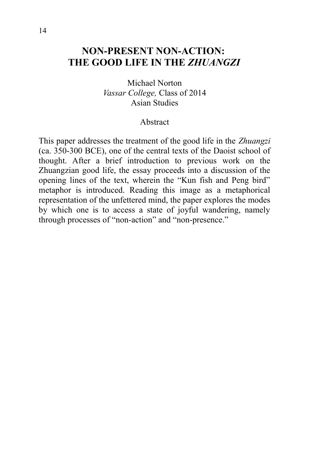## **NON-PRESENT NON-ACTION: THE GOOD LIFE IN THE** *ZHUANGZI*

Michael Norton *Vassar College,* Class of 2014 Asian Studies

#### Abstract

This paper addresses the treatment of the good life in the *Zhuangzi* (ca. 350-300 BCE), one of the central texts of the Daoist school of thought. After a brief introduction to previous work on the Zhuangzian good life, the essay proceeds into a discussion of the opening lines of the text, wherein the "Kun fish and Peng bird" metaphor is introduced. Reading this image as a metaphorical representation of the unfettered mind, the paper explores the modes by which one is to access a state of joyful wandering, namely through processes of "non-action" and "non-presence."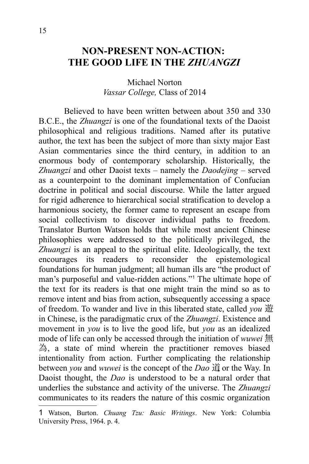## **NON-PRESENT NON-ACTION: THE GOOD LIFE IN THE** *ZHUANGZI*

#### Michael Norton *Vassar College,* Class of 2014

Believed to have been written between about 350 and 330 B.C.E., the *Zhuangzi* is one of the foundational texts of the Daoist philosophical and religious traditions. Named after its putative author, the text has been the subject of more than sixty major East Asian commentaries since the third century, in addition to an enormous body of contemporary scholarship. Historically, the *Zhuangzi* and other Daoist texts – namely the *Daodejing* – served as a counterpoint to the dominant implementation of Confucian doctrine in political and social discourse. While the latter argued for rigid adherence to hierarchical social stratification to develop a harmonious society, the former came to represent an escape from social collectivism to discover individual paths to freedom. Translator Burton Watson holds that while most ancient Chinese philosophies were addressed to the politically privileged, the *Zhuangzi* is an appeal to the spiritual elite. Ideologically, the text encourages its readers to reconsider the epistemological foundations for human judgment; all human ills are "the product of man's purposeful and value-ridden actions."[1](#page-19-0) The ultimate hope of the text for its readers is that one might train the mind so as to remove intent and bias from action, subsequently accessing a space of freedom. To wander and live in this liberated state, called *you* 遊 in Chinese, is the paradigmatic crux of the *Zhuangzi*. Existence and movement in *you* is to live the good life, but *you* as an idealized mode of life can only be accessed through the initiation of *wuwei* 無 為, a state of mind wherein the practitioner removes biased intentionality from action. Further complicating the relationship between *you* and *wuwei* is the concept of the *Dao* 道, or the Way. In Daoist thought, the *Dao* is understood to be a natural order that underlies the substance and activity of the universe. The *Zhuangzi* communicates to its readers the nature of this cosmic organization

<span id="page-19-0"></span><sup>1</sup> Watson, Burton. *Chuang Tzu: Basic Writings*. New York: Columbia University Press, 1964. p. 4.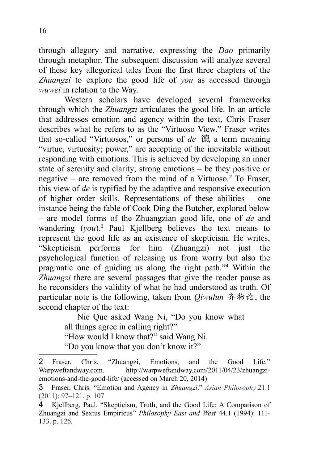through allegory and narrative, expressing the *Dao* primarily through metaphor. The subsequent discussion will analyze several of these key allegorical tales from the first three chapters of the *Zhuangzi* to explore the good life of *you* as accessed through *wuwei* in relation to the Way.

Western scholars have developed several frameworks through which the *Zhuangzi* articulates the good life. In an article that addresses emotion and agency within the text, Chris Fraser describes what he refers to as the "Virtuoso View." Fraser writes that so-called "Virtuosos," or persons of *de* 德, a term meaning "virtue, virtuosity; power," are accepting of the inevitable without responding with emotions. This is achieved by developing an inner state of serenity and clarity; strong emotions – be they positive or negative – are removed from the mind of a Virtuoso.<sup>[2](#page-20-0)</sup> To Fraser, this view of *de* is typified by the adaptive and responsive execution of higher order skills. Representations of these abilities – one instance being the fable of Cook Ding the Butcher, explored below – are model forms of the Zhuangzian good life, one of *de* and wandering (*you*).[3](#page-20-1) Paul Kjellberg believes the text means to represent the good life as an existence of skepticism. He writes, "Skepticism performs for him (Zhuangzi) not just the psychological function of releasing us from worry but also the pragmatic one of guiding us along the right path."[4](#page-20-2) Within the *Zhuangzi* there are several passages that give the reader pause as he reconsiders the validity of what he had understood as truth. Of particular note is the following, taken from *Qiwulun* 齐物论, the second chapter of the text:

Nie Que asked Wang Ni, "Do you know what

all things agree in calling right?"

"How would I know that?" said Wang Ni.

"Do you know that you don't know it?"

<span id="page-20-0"></span><sup>2</sup> Fraser, Chris. "Zhuangzi, Emotions, and the Good Life." Warpweftandway.com. http://warpweftandway.com/2011/04/23/zhuangziemotions-and-the-good-life/ (accessed on March 20, 2014)

<span id="page-20-1"></span><sup>3</sup> Fraser, Chris. "Emotion and Agency in *Zhuangzi*." *Asian Philosophy* 21.1 (2011): 97–121. p. 107

<span id="page-20-2"></span><sup>4</sup> Kjellberg, Paul. "Skepticism, Truth, and the Good Life: A Comparison of Zhuangzi and Sextus Empiricus" *Philosophy East and West* 44.1 (1994): 111- 133. p. 126.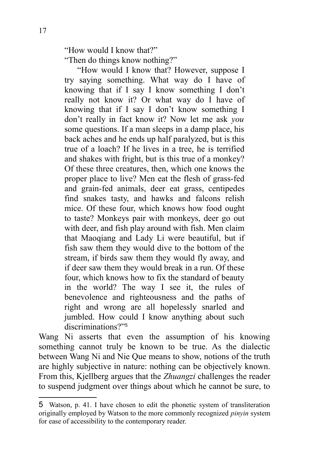"How would I know that?" "Then do things know nothing?"

"How would I know that? However, suppose I try saying something. What way do I have of knowing that if I say I know something I don't really not know it? Or what way do I have of knowing that if I say I don't know something I don't really in fact know it? Now let me ask *you* some questions. If a man sleeps in a damp place, his back aches and he ends up half paralyzed, but is this true of a loach? If he lives in a tree, he is terrified and shakes with fright, but is this true of a monkey? Of these three creatures, then, which one knows the proper place to live? Men eat the flesh of grass-fed and grain-fed animals, deer eat grass, centipedes find snakes tasty, and hawks and falcons relish mice. Of these four, which knows how food ought to taste? Monkeys pair with monkeys, deer go out with deer, and fish play around with fish. Men claim that Maoqiang and Lady Li were beautiful, but if fish saw them they would dive to the bottom of the stream, if birds saw them they would fly away, and if deer saw them they would break in a run. Of these four, which knows how to fix the standard of beauty in the world? The way I see it, the rules of benevolence and righteousness and the paths of right and wrong are all hopelessly snarled and jumbled. How could I know anything about such discriminations?"<sup>[5](#page-21-0)</sup>

Wang Ni asserts that even the assumption of his knowing something cannot truly be known to be true. As the dialectic between Wang Ni and Nie Que means to show, notions of the truth are highly subjective in nature: nothing can be objectively known. From this, Kjellberg argues that the *Zhuangzi* challenges the reader to suspend judgment over things about which he cannot be sure, to

<span id="page-21-0"></span><sup>5</sup> Watson, p. 41. I have chosen to edit the phonetic system of transliteration originally employed by Watson to the more commonly recognized *pinyin* system for ease of accessibility to the contemporary reader.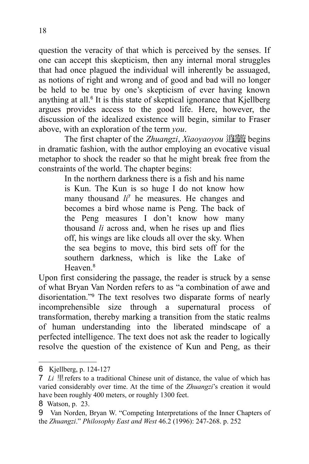question the veracity of that which is perceived by the senses. If one can accept this skepticism, then any internal moral struggles that had once plagued the individual will inherently be assuaged, as notions of right and wrong and of good and bad will no longer be held to be true by one's skepticism of ever having known anything at all.<sup>[6](#page-22-0)</sup> It is this state of skeptical ignorance that Kjellberg argues provides access to the good life. Here, however, the discussion of the idealized existence will begin, similar to Fraser above, with an exploration of the term *you*.

The first chapter of the *Zhuangzi*, *Xiaoyaoyou* 逍遥遊, begins in dramatic fashion, with the author employing an evocative visual metaphor to shock the reader so that he might break free from the constraints of the world. The chapter begins:

> In the northern darkness there is a fish and his name is Kun. The Kun is so huge I do not know how many thousand *li*[7](#page-22-1) he measures. He changes and becomes a bird whose name is Peng. The back of the Peng measures I don't know how many thousand *li* across and, when he rises up and flies off, his wings are like clouds all over the sky. When the sea begins to move, this bird sets off for the southern darkness, which is like the Lake of Heaven<sup>[8](#page-22-2)</sup>

Upon first considering the passage, the reader is struck by a sense of what Bryan Van Norden refers to as "a combination of awe and disorientation."[9](#page-22-3) The text resolves two disparate forms of nearly incomprehensible size through a supernatural process of transformation, thereby marking a transition from the static realms of human understanding into the liberated mindscape of a perfected intelligence. The text does not ask the reader to logically resolve the question of the existence of Kun and Peng, as their

<span id="page-22-0"></span><sup>6</sup> Kjellberg, p. 124-127

<span id="page-22-1"></span><sup>7</sup> *Li* 里refers to a traditional Chinese unit of distance, the value of which has varied considerably over time. At the time of the *Zhuangzi*'s creation it would have been roughly 400 meters, or roughly 1300 feet.

<span id="page-22-2"></span><sup>8</sup> Watson, p. 23.

<span id="page-22-3"></span><sup>9</sup> Van Norden, Bryan W. "Competing Interpretations of the Inner Chapters of the *Zhuangzi*." *Philosophy East and West* 46.2 (1996): 247-268. p. 252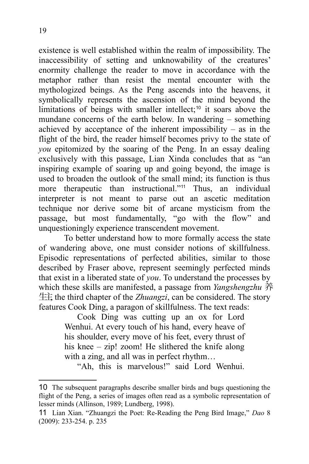existence is well established within the realm of impossibility. The inaccessibility of setting and unknowability of the creatures' enormity challenge the reader to move in accordance with the metaphor rather than resist the mental encounter with the mythologized beings. As the Peng ascends into the heavens, it symbolically represents the ascension of the mind beyond the limitations of beings with smaller intellect;<sup>[10](#page-23-0)</sup> it soars above the mundane concerns of the earth below. In wandering – something achieved by acceptance of the inherent impossibility – as in the flight of the bird, the reader himself becomes privy to the state of *you* epitomized by the soaring of the Peng. In an essay dealing exclusively with this passage, Lian Xinda concludes that as "an inspiring example of soaring up and going beyond, the image is used to broaden the outlook of the small mind; its function is thus more therapeutic than instructional."<sup>[11](#page-23-1)</sup> Thus, an individual interpreter is not meant to parse out an ascetic meditation technique nor derive some bit of arcane mysticism from the passage, but most fundamentally, "go with the flow" and unquestioningly experience transcendent movement.

To better understand how to more formally access the state of wandering above, one must consider notions of skillfulness. Episodic representations of perfected abilities, similar to those described by Fraser above, represent seemingly perfected minds that exist in a liberated state of *you*. To understand the processes by which these skills are manifested, a passage from *Yangshengzhu* 养 生主, the third chapter of the *Zhuangzi*, can be considered. The story features Cook Ding, a paragon of skillfulness. The text reads:

Cook Ding was cutting up an ox for Lord Wenhui. At every touch of his hand, every heave of his shoulder, every move of his feet, every thrust of his knee – zip! zoom! He slithered the knife along with a zing, and all was in perfect rhythm...

"Ah, this is marvelous!" said Lord Wenhui.

<span id="page-23-0"></span><sup>10</sup> The subsequent paragraphs describe smaller birds and bugs questioning the flight of the Peng, a series of images often read as a symbolic representation of lesser minds (Allinson, 1989; Lundberg, 1998).

<span id="page-23-1"></span><sup>11</sup> Lian Xian. "Zhuangzi the Poet: Re-Reading the Peng Bird Image," *Dao* 8 (2009): 233-254. p. 235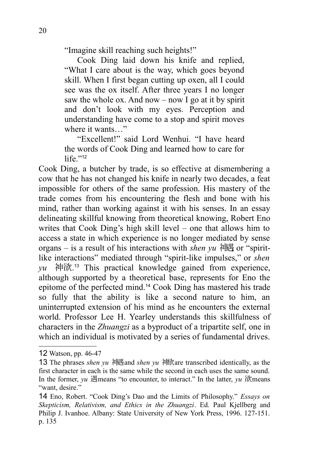"Imagine skill reaching such heights!"

Cook Ding laid down his knife and replied, "What I care about is the way, which goes beyond skill. When I first began cutting up oxen, all I could see was the ox itself. After three years I no longer saw the whole ox. And now – now I go at it by spirit and don't look with my eyes. Perception and understanding have come to a stop and spirit moves where it wants..."

"Excellent!" said Lord Wenhui. "I have heard the words of Cook Ding and learned how to care for life $"12$  $"12$ 

Cook Ding, a butcher by trade, is so effective at dismembering a cow that he has not changed his knife in nearly two decades, a feat impossible for others of the same profession. His mastery of the trade comes from his encountering the flesh and bone with his mind, rather than working against it with his senses. In an essay delineating skillful knowing from theoretical knowing, Robert Eno writes that Cook Ding's high skill level – one that allows him to access a state in which experience is no longer mediated by sense organs – is a result of his interactions with *shen yu* 神遇 or "spiritlike interactions" mediated through "spirit-like impulses," or *shen yu* 神欲. [13](#page-24-1) This practical knowledge gained from experience, although supported by a theoretical base, represents for Eno the epitome of the perfected mind.[14](#page-24-2) Cook Ding has mastered his trade so fully that the ability is like a second nature to him, an uninterrupted extension of his mind as he encounters the external world. Professor Lee H. Yearley understands this skillfulness of characters in the *Zhuangzi* as a byproduct of a tripartite self, one in which an individual is motivated by a series of fundamental drives.

<span id="page-24-0"></span><sup>12</sup> Watson, pp. 46-47

<span id="page-24-1"></span><sup>13</sup> The phrases *shen yu* 神遇and *shen yu* 神欲are transcribed identically, as the first character in each is the same while the second in each uses the same sound. In the former, *yu* 遇means "to encounter, to interact." In the latter, *yu* 欲means "want, desire."

<span id="page-24-2"></span><sup>14</sup> Eno, Robert. "Cook Ding's Dao and the Limits of Philosophy." *Essays on Skepticism, Relativism, and Ethics in the Zhuangzi*. Ed. Paul Kjellberg and Philip J. Ivanhoe. Albany: State University of New York Press, 1996. 127-151. p. 135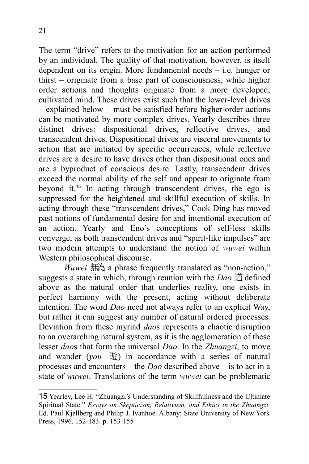21

The term "drive" refers to the motivation for an action performed by an individual. The quality of that motivation, however, is itself dependent on its origin. More fundamental needs – i.e. hunger or thirst – originate from a base part of consciousness, while higher order actions and thoughts originate from a more developed, cultivated mind. These drives exist such that the lower-level drives – explained below – must be satisfied before higher-order actions can be motivated by more complex drives. Yearly describes three distinct drives: dispositional drives, reflective drives, and transcendent drives. Dispositional drives are visceral movements to action that are initiated by specific occurrences, while reflective drives are a desire to have drives other than dispositional ones and are a byproduct of conscious desire. Lastly, transcendent drives exceed the normal ability of the self and appear to originate from beyond it.[15](#page-25-0) In acting through transcendent drives, the ego is suppressed for the heightened and skillful execution of skills. In acting through these "transcendent drives," Cook Ding has moved past notions of fundamental desire for and intentional execution of an action. Yearly and Eno's conceptions of self-less skills converge, as both transcendent drives and "spirit-like impulses" are two modern attempts to understand the notion of *wuwei* within Western philosophical discourse.

*Wuwei* 無為, a phrase frequently translated as "non-action," suggests a state in which, through reunion with the *Dao* 道, defined above as the natural order that underlies reality, one exists in perfect harmony with the present, acting without deliberate intention. The word *Dao* need not always refer to an explicit Way, but rather it can suggest any number of natural ordered processes. Deviation from these myriad *dao*s represents a chaotic disruption to an overarching natural system, as it is the agglomeration of these lesser *dao*s that form the universal *Dao*. In the *Zhuangzi*, to move and wander (*you* 遊) in accordance with a series of natural processes and encounters – the *Dao* described above – is to act in a state of *wuwei*. Translations of the term *wuwei* can be problematic

<span id="page-25-0"></span><sup>15</sup> Yearley, Lee H. "Zhuangzi's Understanding of Skillfullness and the Ultimate Spiritual State." *Essays on Skepticism, Relativism, and Ethics in the Zhuangzi.* Ed. Paul Kjellberg and Philip J. Ivanhoe. Albany: State University of New York Press, 1996. 152-183. p. 153-155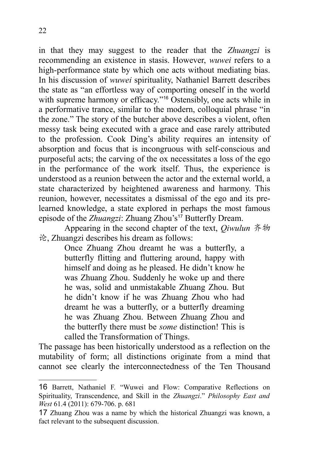in that they may suggest to the reader that the *Zhuangzi* is recommending an existence in stasis. However, *wuwei* refers to a high-performance state by which one acts without mediating bias. In his discussion of *wuwei* spirituality, Nathaniel Barrett describes the state as "an effortless way of comporting oneself in the world with supreme harmony or efficacy."<sup>[16](#page-26-0)</sup> Ostensibly, one acts while in a performative trance, similar to the modern, colloquial phrase "in the zone." The story of the butcher above describes a violent, often messy task being executed with a grace and ease rarely attributed to the profession. Cook Ding's ability requires an intensity of absorption and focus that is incongruous with self-conscious and purposeful acts; the carving of the ox necessitates a loss of the ego in the performance of the work itself. Thus, the experience is understood as a reunion between the actor and the external world, a state characterized by heightened awareness and harmony. This reunion, however, necessitates a dismissal of the ego and its prelearned knowledge, a state explored in perhaps the most famous episode of the *Zhuangzi*: Zhuang Zhou's<sup>[17](#page-26-1)</sup> Butterfly Dream.

Appearing in the second chapter of the text, *Qiwulun* 齐物 论, Zhuangzi describes his dream as follows:

> Once Zhuang Zhou dreamt he was a butterfly, a butterfly flitting and fluttering around, happy with himself and doing as he pleased. He didn't know he was Zhuang Zhou. Suddenly he woke up and there he was, solid and unmistakable Zhuang Zhou. But he didn't know if he was Zhuang Zhou who had dreamt he was a butterfly, or a butterfly dreaming he was Zhuang Zhou. Between Zhuang Zhou and the butterfly there must be *some* distinction! This is called the Transformation of Things.

The passage has been historically understood as a reflection on the mutability of form; all distinctions originate from a mind that cannot see clearly the interconnectedness of the Ten Thousand

<span id="page-26-0"></span><sup>16</sup> Barrett, Nathaniel F. "Wuwei and Flow: Comparative Reflections on Spirituality, Transcendence, and Skill in the *Zhuangzi*." *Philosophy East and West* 61.4 (2011): 679-706. p. 681

<span id="page-26-1"></span><sup>17</sup> Zhuang Zhou was a name by which the historical Zhuangzi was known, a fact relevant to the subsequent discussion.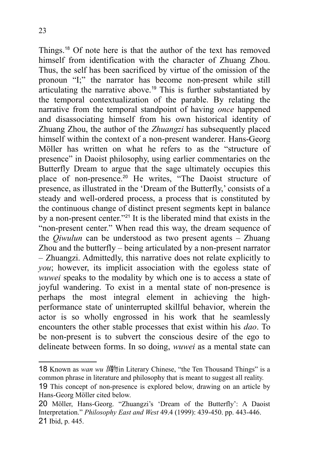Things.[18](#page-27-0) Of note here is that the author of the text has removed himself from identification with the character of Zhuang Zhou. Thus, the self has been sacrificed by virtue of the omission of the pronoun "I;" the narrator has become non-present while still articulating the narrative above.[19](#page-27-1) This is further substantiated by the temporal contextualization of the parable. By relating the narrative from the temporal standpoint of having *once* happened and disassociating himself from his own historical identity of Zhuang Zhou, the author of the *Zhuangzi* has subsequently placed himself within the context of a non-present wanderer. Hans-Georg Möller has written on what he refers to as the "structure of presence" in Daoist philosophy, using earlier commentaries on the Butterfly Dream to argue that the sage ultimately occupies this place of non-presence.<sup>[20](#page-27-2)</sup> He writes, "The Daoist structure of presence, as illustrated in the 'Dream of the Butterfly,' consists of a steady and well-ordered process, a process that is constituted by the continuous change of distinct present segments kept in balance by a non-present center."[21](#page-27-3) It is the liberated mind that exists in the "non-present center." When read this way, the dream sequence of the *Qiwulun* can be understood as two present agents – Zhuang Zhou and the butterfly – being articulated by a non-present narrator – Zhuangzi. Admittedly, this narrative does not relate explicitly to *you*; however, its implicit association with the egoless state of *wuwei* speaks to the modality by which one is to access a state of joyful wandering. To exist in a mental state of non-presence is perhaps the most integral element in achieving the highperformance state of uninterrupted skillful behavior, wherein the actor is so wholly engrossed in his work that he seamlessly encounters the other stable processes that exist within his *dao*. To be non-present is to subvert the conscious desire of the ego to delineate between forms. In so doing, *wuwei* as a mental state can

<span id="page-27-0"></span>**<sup>18</sup> Known as** *wan wu* **萬**物in Literary Chinese, "the Ten Thousand Things" is a common phrase in literature and philosophy that is meant to suggest all reality.

<span id="page-27-1"></span><sup>19</sup> This concept of non-presence is explored below, drawing on an article by Hans-Georg Möller cited below.

<span id="page-27-3"></span><span id="page-27-2"></span><sup>20</sup> Möller, Hans-Georg. "Zhuangzi's 'Dream of the Butterfly': A Daoist Interpretation." *Philosophy East and West* 49.4 (1999): 439-450. pp. 443-446. 21 Ibid, p. 445.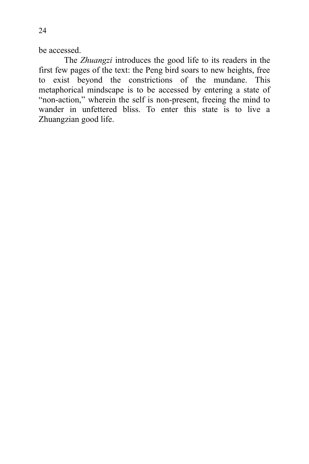be accessed.

The *Zhuangzi* introduces the good life to its readers in the first few pages of the text: the Peng bird soars to new heights, free to exist beyond the constrictions of the mundane. This metaphorical mindscape is to be accessed by entering a state of "non-action," wherein the self is non-present, freeing the mind to wander in unfettered bliss. To enter this state is to live a Zhuangzian good life.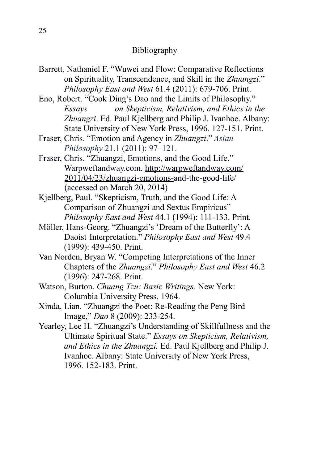#### Bibliography

- Barrett, Nathaniel F. "Wuwei and Flow: Comparative Reflections on Spirituality, Transcendence, and Skill in the *Zhuangzi*." *Philosophy East and West* 61.4 (2011): 679-706. Print.
- Eno, Robert. "Cook Ding's Dao and the Limits of Philosophy." *Essays on Skepticism, Relativism, and Ethics in the Zhuangzi*. Ed. Paul Kjellberg and Philip J. Ivanhoe. Albany: State University of New York Press, 1996. 127-151. Print.
- Fraser, Chris. "Emotion and Agency in *Zhuangzi*." *Asian Philosophy* 21.1 (2011): 97–121.
- Fraser, Chris. "Zhuangzi, Emotions, and the Good Life." Warpweftandway.com.<http://warpweftandway.com/> [2011/04/23/zhuangzi-emotions-a](http://warpweftandway.com/2011/04/23/zhuangzi-emotions-)nd-the-good-life/ (accessed on March 20, 2014)
- Kjellberg, Paul. "Skepticism, Truth, and the Good Life: A Comparison of Zhuangzi and Sextus Empiricus" *Philosophy East and West* 44.1 (1994): 111-133. Print.
- Möller, Hans-Georg. "Zhuangzi's 'Dream of the Butterfly': A Daoist Interpretation." *Philosophy East and West* 49.4 (1999): 439-450. Print.
- Van Norden, Bryan W. "Competing Interpretations of the Inner Chapters of the *Zhuangzi*." *Philosophy East and West* 46.2 (1996): 247-268. Print.
- Watson, Burton. *Chuang Tzu: Basic Writings*. New York: Columbia University Press, 1964.
- Xinda, Lian. "Zhuangzi the Poet: Re-Reading the Peng Bird Image," *Dao* 8 (2009): 233-254.
- Yearley, Lee H. "Zhuangzi's Understanding of Skillfullness and the Ultimate Spiritual State." *Essays on Skepticism, Relativism, and Ethics in the Zhuangzi.* Ed. Paul Kjellberg and Philip J. Ivanhoe. Albany: State University of New York Press, 1996. 152-183. Print.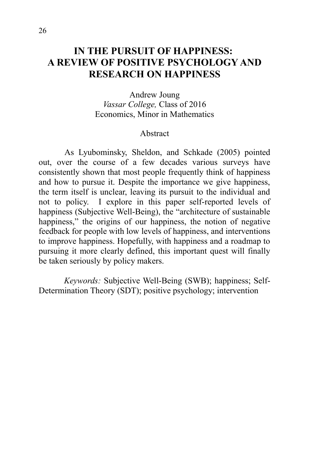## **IN THE PURSUIT OF HAPPINESS: A REVIEW OF POSITIVE PSYCHOLOGY AND RESEARCH ON HAPPINESS**

Andrew Joung *Vassar College,* Class of 2016 Economics, Minor in Mathematics

#### Abstract

As Lyubominsky, Sheldon, and Schkade (2005) pointed out, over the course of a few decades various surveys have consistently shown that most people frequently think of happiness and how to pursue it. Despite the importance we give happiness, the term itself is unclear, leaving its pursuit to the individual and not to policy. I explore in this paper self-reported levels of happiness (Subjective Well-Being), the "architecture of sustainable happiness," the origins of our happiness, the notion of negative feedback for people with low levels of happiness, and interventions to improve happiness. Hopefully, with happiness and a roadmap to pursuing it more clearly defined, this important quest will finally be taken seriously by policy makers.

*Keywords:* Subjective Well-Being (SWB); happiness; Self-Determination Theory (SDT); positive psychology; intervention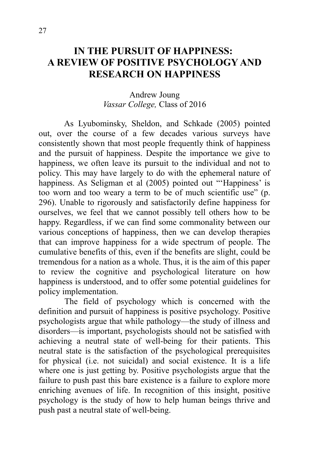## **IN THE PURSUIT OF HAPPINESS: A REVIEW OF POSITIVE PSYCHOLOGY AND RESEARCH ON HAPPINESS**

#### Andrew Joung *Vassar College,* Class of 2016

As Lyubominsky, Sheldon, and Schkade (2005) pointed out, over the course of a few decades various surveys have consistently shown that most people frequently think of happiness and the pursuit of happiness. Despite the importance we give to happiness, we often leave its pursuit to the individual and not to policy. This may have largely to do with the ephemeral nature of happiness. As Seligman et al (2005) pointed out "'Happiness' is too worn and too weary a term to be of much scientific use" (p. 296). Unable to rigorously and satisfactorily define happiness for ourselves, we feel that we cannot possibly tell others how to be happy. Regardless, if we can find some commonality between our various conceptions of happiness, then we can develop therapies that can improve happiness for a wide spectrum of people. The cumulative benefits of this, even if the benefits are slight, could be tremendous for a nation as a whole. Thus, it is the aim of this paper to review the cognitive and psychological literature on how happiness is understood, and to offer some potential guidelines for policy implementation.

The field of psychology which is concerned with the definition and pursuit of happiness is positive psychology. Positive psychologists argue that while pathology—the study of illness and disorders—is important, psychologists should not be satisfied with achieving a neutral state of well-being for their patients. This neutral state is the satisfaction of the psychological prerequisites for physical (i.e. not suicidal) and social existence. It is a life where one is just getting by. Positive psychologists argue that the failure to push past this bare existence is a failure to explore more enriching avenues of life. In recognition of this insight, positive psychology is the study of how to help human beings thrive and push past a neutral state of well-being.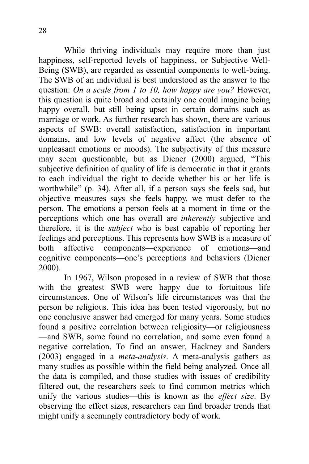While thriving individuals may require more than just happiness, self-reported levels of happiness, or Subjective Well-Being (SWB), are regarded as essential components to well-being. The SWB of an individual is best understood as the answer to the question: *On a scale from 1 to 10, how happy are you?* However, this question is quite broad and certainly one could imagine being happy overall, but still being upset in certain domains such as marriage or work. As further research has shown, there are various aspects of SWB: overall satisfaction, satisfaction in important domains, and low levels of negative affect (the absence of unpleasant emotions or moods). The subjectivity of this measure may seem questionable, but as Diener (2000) argued, "This subjective definition of quality of life is democratic in that it grants to each individual the right to decide whether his or her life is worthwhile" (p. 34). After all, if a person says she feels sad, but objective measures says she feels happy, we must defer to the person. The emotions a person feels at a moment in time or the perceptions which one has overall are *inherently* subjective and therefore, it is the *subject* who is best capable of reporting her feelings and perceptions. This represents how SWB is a measure of both affective components—experience of emotions—and cognitive components—one's perceptions and behaviors (Diener 2000).

In 1967, Wilson proposed in a review of SWB that those with the greatest SWB were happy due to fortuitous life circumstances. One of Wilson's life circumstances was that the person be religious. This idea has been tested vigorously, but no one conclusive answer had emerged for many years. Some studies found a positive correlation between religiosity—or religiousness —and SWB, some found no correlation, and some even found a negative correlation. To find an answer, Hackney and Sanders (2003) engaged in a *meta-analysis*. A meta-analysis gathers as many studies as possible within the field being analyzed. Once all the data is compiled, and those studies with issues of credibility filtered out, the researchers seek to find common metrics which unify the various studies—this is known as the *effect size*. By observing the effect sizes, researchers can find broader trends that might unify a seemingly contradictory body of work.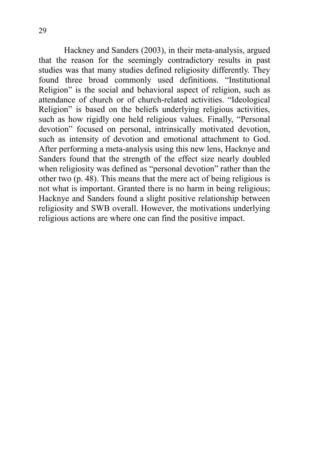Hackney and Sanders (2003), in their meta-analysis, argued that the reason for the seemingly contradictory results in past studies was that many studies defined religiosity differently. They found three broad commonly used definitions. "Institutional Religion" is the social and behavioral aspect of religion, such as attendance of church or of church-related activities. "Ideological Religion" is based on the beliefs underlying religious activities, such as how rigidly one held religious values. Finally, "Personal devotion" focused on personal, intrinsically motivated devotion, such as intensity of devotion and emotional attachment to God. After performing a meta-analysis using this new lens, Hacknye and Sanders found that the strength of the effect size nearly doubled when religiosity was defined as "personal devotion" rather than the other two (p. 48). This means that the mere act of being religious is not what is important. Granted there is no harm in being religious; Hacknye and Sanders found a slight positive relationship between religiosity and SWB overall. However, the motivations underlying religious actions are where one can find the positive impact.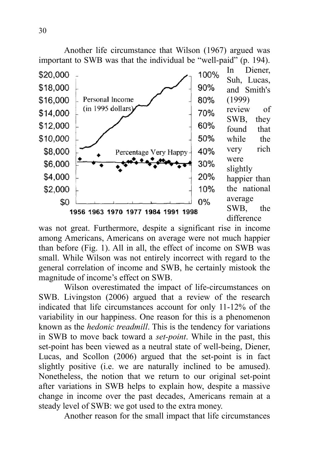

was not great. Furthermore, despite a significant rise in income among Americans, Americans on average were not much happier than before (Fig. 1). All in all, the effect of income on SWB was small. While Wilson was not entirely incorrect with regard to the general correlation of income and SWB, he certainly mistook the magnitude of income's effect on SWB.

Wilson overestimated the impact of life-circumstances on SWB. Livingston (2006) argued that a review of the research indicated that life circumstances account for only 11-12% of the variability in our happiness. One reason for this is a phenomenon known as the *hedonic treadmill*. This is the tendency for variations in SWB to move back toward a *set-point*. While in the past, this set-point has been viewed as a neutral state of well-being, Diener, Lucas, and Scollon (2006) argued that the set-point is in fact slightly positive (i.e. we are naturally inclined to be amused). Nonetheless, the notion that we return to our original set-point after variations in SWB helps to explain how, despite a massive change in income over the past decades, Americans remain at a steady level of SWB: we got used to the extra money.

Another reason for the small impact that life circumstances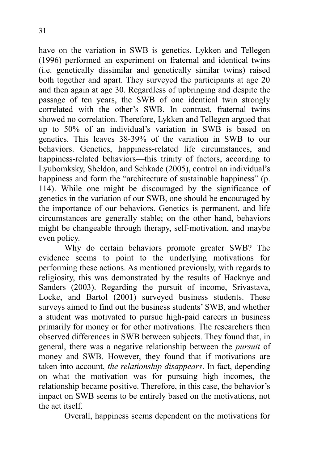have on the variation in SWB is genetics. Lykken and Tellegen (1996) performed an experiment on fraternal and identical twins (i.e. genetically dissimilar and genetically similar twins) raised both together and apart. They surveyed the participants at age 20 and then again at age 30. Regardless of upbringing and despite the passage of ten years, the SWB of one identical twin strongly correlated with the other's SWB. In contrast, fraternal twins showed no correlation. Therefore, Lykken and Tellegen argued that up to 50% of an individual's variation in SWB is based on genetics. This leaves 38-39% of the variation in SWB to our behaviors. Genetics, happiness-related life circumstances, and happiness-related behaviors—this trinity of factors, according to Lyubomksky, Sheldon, and Schkade (2005), control an individual's happiness and form the "architecture of sustainable happiness" (p. 114). While one might be discouraged by the significance of genetics in the variation of our SWB, one should be encouraged by the importance of our behaviors. Genetics is permanent, and life circumstances are generally stable; on the other hand, behaviors might be changeable through therapy, self-motivation, and maybe even policy.

Why do certain behaviors promote greater SWB? The evidence seems to point to the underlying motivations for performing these actions. As mentioned previously, with regards to religiosity, this was demonstrated by the results of Hacknye and Sanders (2003). Regarding the pursuit of income, Srivastava, Locke, and Bartol (2001) surveyed business students. These surveys aimed to find out the business students' SWB, and whether a student was motivated to pursue high-paid careers in business primarily for money or for other motivations. The researchers then observed differences in SWB between subjects. They found that, in general, there was a negative relationship between the *pursuit* of money and SWB. However, they found that if motivations are taken into account, *the relationship disappears*. In fact, depending on what the motivation was for pursuing high incomes, the relationship became positive. Therefore, in this case, the behavior's impact on SWB seems to be entirely based on the motivations, not the act itself.

Overall, happiness seems dependent on the motivations for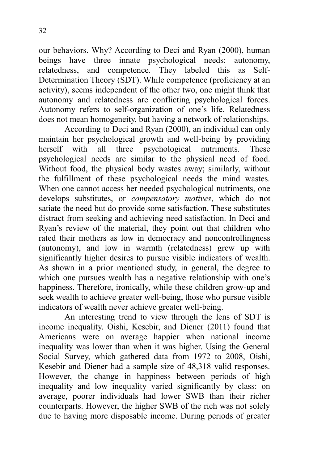our behaviors. Why? According to Deci and Ryan (2000), human beings have three innate psychological needs: autonomy, relatedness, and competence. They labeled this as Self-Determination Theory (SDT). While competence (proficiency at an activity), seems independent of the other two, one might think that autonomy and relatedness are conflicting psychological forces. Autonomy refers to self-organization of one's life. Relatedness does not mean homogeneity, but having a network of relationships.

According to Deci and Ryan (2000), an individual can only maintain her psychological growth and well-being by providing herself with all three psychological nutriments. These psychological needs are similar to the physical need of food. Without food, the physical body wastes away; similarly, without the fulfillment of these psychological needs the mind wastes. When one cannot access her needed psychological nutriments, one develops substitutes, or *compensatory motives*, which do not satiate the need but do provide some satisfaction. These substitutes distract from seeking and achieving need satisfaction. In Deci and Ryan's review of the material, they point out that children who rated their mothers as low in democracy and noncontrollingness (autonomy), and low in warmth (relatedness) grew up with significantly higher desires to pursue visible indicators of wealth. As shown in a prior mentioned study, in general, the degree to which one pursues wealth has a negative relationship with one's happiness. Therefore, ironically, while these children grow-up and seek wealth to achieve greater well-being, those who pursue visible indicators of wealth never achieve greater well-being.

An interesting trend to view through the lens of SDT is income inequality. Oishi, Kesebir, and Diener (2011) found that Americans were on average happier when national income inequality was lower than when it was higher. Using the General Social Survey, which gathered data from 1972 to 2008, Oishi, Kesebir and Diener had a sample size of 48,318 valid responses. However, the change in happiness between periods of high inequality and low inequality varied significantly by class: on average, poorer individuals had lower SWB than their richer counterparts. However, the higher SWB of the rich was not solely due to having more disposable income. During periods of greater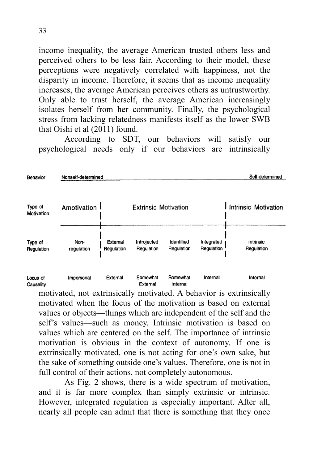income inequality, the average American trusted others less and perceived others to be less fair. According to their model, these perceptions were negatively correlated with happiness, not the disparity in income. Therefore, it seems that as income inequality increases, the average American perceives others as untrustworthy. Only able to trust herself, the average American increasingly isolates herself from her community. Finally, the psychological stress from lacking relatedness manifests itself as the lower SWB that Oishi et al (2011) found.

According to SDT, our behaviors will satisfy our psychological needs only if our behaviors are intrinsically

| Behavior              | Nonself-determined                           |                        |                           |                          |                          | Self-determined         |  |
|-----------------------|----------------------------------------------|------------------------|---------------------------|--------------------------|--------------------------|-------------------------|--|
| Type of<br>Motivation | Amotivation 1<br><b>Extrinsic Motivation</b> |                        |                           |                          |                          | I Intrinsic Motivation  |  |
| Type of<br>Regulation | Non-<br>regulation                           | External<br>Regulation | Introjected<br>Regulation | Identified<br>Regulation | Integrated<br>Regulation | Intrinsic<br>Regulation |  |
| Locus of<br>Causality | Impersonal                                   | External               | Somewhat<br>External      | Somewhat<br>Internal     | Internal                 | Internal                |  |

motivated, not extrinsically motivated. A behavior is extrinsically motivated when the focus of the motivation is based on external values or objects—things which are independent of the self and the self's values—such as money. Intrinsic motivation is based on values which are centered on the self. The importance of intrinsic motivation is obvious in the context of autonomy. If one is extrinsically motivated, one is not acting for one's own sake, but the sake of something outside one's values. Therefore, one is not in full control of their actions, not completely autonomous.

As Fig. 2 shows, there is a wide spectrum of motivation, and it is far more complex than simply extrinsic or intrinsic. However, integrated regulation is especially important. After all, nearly all people can admit that there is something that they once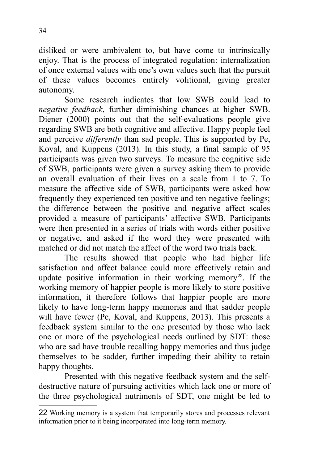disliked or were ambivalent to, but have come to intrinsically enjoy. That is the process of integrated regulation: internalization of once external values with one's own values such that the pursuit of these values becomes entirely volitional, giving greater autonomy.

Some research indicates that low SWB could lead to *negative feedback*, further diminishing chances at higher SWB. Diener (2000) points out that the self-evaluations people give regarding SWB are both cognitive and affective. Happy people feel and perceive *differently* than sad people. This is supported by Pe, Koval, and Kuppens (2013). In this study, a final sample of 95 participants was given two surveys. To measure the cognitive side of SWB, participants were given a survey asking them to provide an overall evaluation of their lives on a scale from 1 to 7. To measure the affective side of SWB, participants were asked how frequently they experienced ten positive and ten negative feelings; the difference between the positive and negative affect scales provided a measure of participants' affective SWB. Participants were then presented in a series of trials with words either positive or negative, and asked if the word they were presented with matched or did not match the affect of the word two trials back.

The results showed that people who had higher life satisfaction and affect balance could more effectively retain and update positive information in their working memory<sup>[22](#page-38-0)</sup>. If the working memory of happier people is more likely to store positive information, it therefore follows that happier people are more likely to have long-term happy memories and that sadder people will have fewer (Pe, Koval, and Kuppens, 2013). This presents a feedback system similar to the one presented by those who lack one or more of the psychological needs outlined by SDT: those who are sad have trouble recalling happy memories and thus judge themselves to be sadder, further impeding their ability to retain happy thoughts.

Presented with this negative feedback system and the selfdestructive nature of pursuing activities which lack one or more of the three psychological nutriments of SDT, one might be led to

<span id="page-38-0"></span><sup>22</sup> Working memory is a system that temporarily stores and processes relevant information prior to it being incorporated into long-term memory.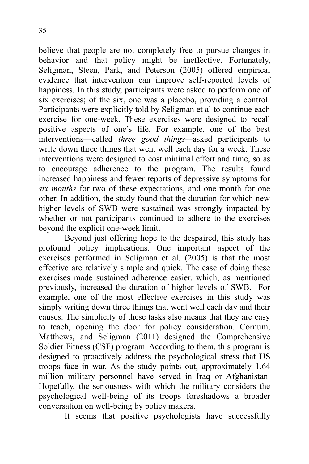believe that people are not completely free to pursue changes in behavior and that policy might be ineffective. Fortunately, Seligman, Steen, Park, and Peterson (2005) offered empirical evidence that intervention can improve self-reported levels of happiness. In this study, participants were asked to perform one of six exercises; of the six, one was a placebo, providing a control. Participants were explicitly told by Seligman et al to continue each exercise for one-week. These exercises were designed to recall positive aspects of one's life. For example, one of the best interventions—called *three good things—*asked participants to write down three things that went well each day for a week. These interventions were designed to cost minimal effort and time, so as to encourage adherence to the program. The results found increased happiness and fewer reports of depressive symptoms for *six months* for two of these expectations, and one month for one other. In addition, the study found that the duration for which new higher levels of SWB were sustained was strongly impacted by whether or not participants continued to adhere to the exercises beyond the explicit one-week limit.

Beyond just offering hope to the despaired, this study has profound policy implications. One important aspect of the exercises performed in Seligman et al. (2005) is that the most effective are relatively simple and quick. The ease of doing these exercises made sustained adherence easier, which, as mentioned previously, increased the duration of higher levels of SWB. For example, one of the most effective exercises in this study was simply writing down three things that went well each day and their causes. The simplicity of these tasks also means that they are easy to teach, opening the door for policy consideration. Cornum, Matthews, and Seligman (2011) designed the Comprehensive Soldier Fitness (CSF) program. According to them, this program is designed to proactively address the psychological stress that US troops face in war. As the study points out, approximately 1.64 million military personnel have served in Iraq or Afghanistan. Hopefully, the seriousness with which the military considers the psychological well-being of its troops foreshadows a broader conversation on well-being by policy makers.

It seems that positive psychologists have successfully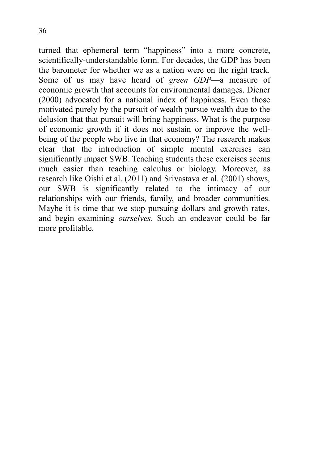turned that ephemeral term "happiness" into a more concrete, scientifically-understandable form. For decades, the GDP has been the barometer for whether we as a nation were on the right track. Some of us may have heard of *green GDP*—a measure of economic growth that accounts for environmental damages. Diener (2000) advocated for a national index of happiness. Even those motivated purely by the pursuit of wealth pursue wealth due to the delusion that that pursuit will bring happiness. What is the purpose of economic growth if it does not sustain or improve the wellbeing of the people who live in that economy? The research makes clear that the introduction of simple mental exercises can significantly impact SWB. Teaching students these exercises seems much easier than teaching calculus or biology. Moreover, as research like Oishi et al. (2011) and Srivastava et al. (2001) shows, our SWB is significantly related to the intimacy of our relationships with our friends, family, and broader communities. Maybe it is time that we stop pursuing dollars and growth rates, and begin examining *ourselves*. Such an endeavor could be far more profitable.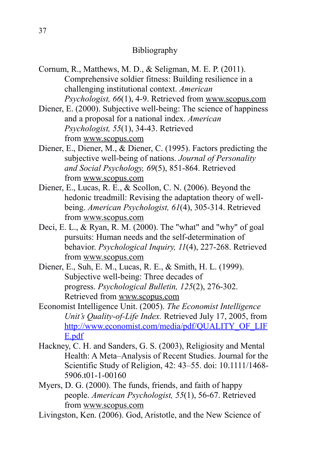#### Bibliography

- Cornum, R., Matthews, M. D., & Seligman, M. E. P. (2011). Comprehensive soldier fitness: Building resilience in a challenging institutional context. *American Psychologist, 66*(1), 4-9. Retrieved from [www.scopus.com](http://www.scopus.com/)
- Diener, E. (2000). Subjective well-being: The science of happiness and a proposal for a national index. *American Psychologist, 55*(1), 34-43. Retrieved from [www.scopus.com](http://www.scopus.com/)
- Diener, E., Diener, M., & Diener, C. (1995). Factors predicting the subjective well-being of nations. *Journal of Personality and Social Psychology, 69*(5), 851-864. Retrieved from [www.scopus.com](http://www.scopus.com/)
- Diener, E., Lucas, R. E., & Scollon, C. N. (2006). Beyond the hedonic treadmill: Revising the adaptation theory of wellbeing. *American Psychologist, 61*(4), 305-314. Retrieved from [www.scopus.com](http://www.scopus.com/)
- Deci, E. L., & Ryan, R. M. (2000). The "what" and "why" of goal pursuits: Human needs and the self-determination of behavior. *Psychological Inquiry, 11*(4), 227-268. Retrieved from [www.scopus.com](http://www.scopus.com/)
- Diener, E., Suh, E. M., Lucas, R. E., & Smith, H. L. (1999). Subjective well-being: Three decades of progress. *Psychological Bulletin, 125*(2), 276-302. Retrieved from [www.scopus.com](http://www.scopus.com/)
- Economist Intelligence Unit. (2005). *The Economist Intelligence Unit's Quality-of-Life Index.* Retrieved July 17, 2005, from http://www.economist.com/media/pdf/QUALITY\_OF\_LIF [E.pdf](http://www.economist.com/media/pdf/QUALITY_OF_LIFE.pdf)
- Hackney, C. H. and Sanders, G. S. (2003), Religiosity and Mental Health: A Meta–Analysis of Recent Studies. Journal for the Scientific Study of Religion, 42: 43–55. doi: 10.1111/1468- 5906.t01-1-00160
- Myers, D. G. (2000). The funds, friends, and faith of happy people. *American Psychologist, 55*(1), 56-67. Retrieved from [www.scopus.com](http://www.scopus.com/)
- Livingston, Ken. (2006). God, Aristotle, and the New Science of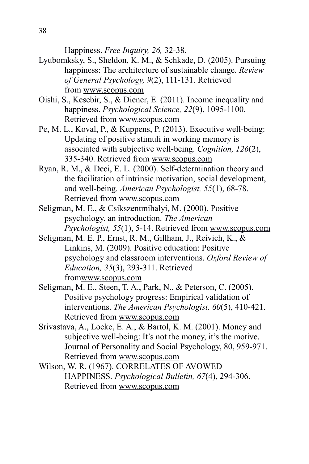Happiness. *Free Inquiry, 26,* 32-38.

- Lyubomksky, S., Sheldon, K. M., & Schkade, D. (2005). Pursuing happiness: The architecture of sustainable change. *Review of General Psychology, 9*(2), 111-131. Retrieved from [www.scopus.com](http://www.scopus.com/)
- Oishi, S., Kesebir, S., & Diener, E. (2011). Income inequality and happiness. *Psychological Science, 22*(9), 1095-1100. Retrieved from [www.scopus.com](http://www.scopus.com/)
- Pe, M. L., Koval, P., & Kuppens, P. (2013). Executive well-being: Updating of positive stimuli in working memory is associated with subjective well-being. *Cognition, 126*(2), 335-340. Retrieved from [www.scopus.com](http://www.scopus.com/)
- Ryan, R. M., & Deci, E. L. (2000). Self-determination theory and the facilitation of intrinsic motivation, social development, and well-being. *American Psychologist, 55*(1), 68-78. Retrieved from [www.scopus.com](http://www.scopus.com/)
- Seligman, M. E., & Csikszentmihalyi, M. (2000). Positive psychology. an introduction. *The American Psychologist, 55*(1), 5-14. Retrieved from [www.scopus.com](http://www.scopus.com/)
- Seligman, M. E. P., Ernst, R. M., Gillham, J., Reivich, K., & Linkins, M. (2009). Positive education: Positive psychology and classroom interventions. *Oxford Review of Education, 35*(3), 293-311. Retrieved fro[mwww.scopus.com](http://www.scopus.com/)
- Seligman, M. E., Steen, T. A., Park, N., & Peterson, C. (2005). Positive psychology progress: Empirical validation of interventions. *The American Psychologist, 60*(5), 410-421. Retrieved from [www.scopus.com](http://www.scopus.com/)
- Srivastava, A., Locke, E. A., & Bartol, K. M. (2001). Money and subjective well-being: It's not the money, it's the motive. Journal of Personality and Social Psychology, 80, 959-971. Retrieved from [www.scopus.com](http://www.scopus.com/)
- Wilson, W. R. (1967). CORRELATES OF AVOWED HAPPINESS. *Psychological Bulletin, 67*(4), 294-306. Retrieved from [www.scopus.com](http://www.scopus.com/)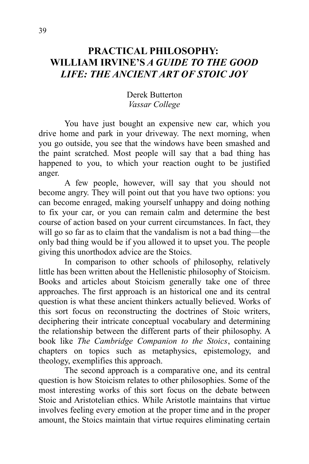## **PRACTICAL PHILOSOPHY: WILLIAM IRVINE'S** *A GUIDE TO THE GOOD LIFE: THE ANCIENT ART OF STOIC JOY*

#### Derek Butterton *Vassar College*

You have just bought an expensive new car, which you drive home and park in your driveway. The next morning, when you go outside, you see that the windows have been smashed and the paint scratched. Most people will say that a bad thing has happened to you, to which your reaction ought to be justified anger.

A few people, however, will say that you should not become angry. They will point out that you have two options: you can become enraged, making yourself unhappy and doing nothing to fix your car, or you can remain calm and determine the best course of action based on your current circumstances. In fact, they will go so far as to claim that the vandalism is not a bad thing—the only bad thing would be if you allowed it to upset you. The people giving this unorthodox advice are the Stoics.

In comparison to other schools of philosophy, relatively little has been written about the Hellenistic philosophy of Stoicism. Books and articles about Stoicism generally take one of three approaches. The first approach is an historical one and its central question is what these ancient thinkers actually believed. Works of this sort focus on reconstructing the doctrines of Stoic writers, deciphering their intricate conceptual vocabulary and determining the relationship between the different parts of their philosophy. A book like *The Cambridge Companion to the Stoics*, containing chapters on topics such as metaphysics, epistemology, and theology, exemplifies this approach.

The second approach is a comparative one, and its central question is how Stoicism relates to other philosophies. Some of the most interesting works of this sort focus on the debate between Stoic and Aristotelian ethics. While Aristotle maintains that virtue involves feeling every emotion at the proper time and in the proper amount, the Stoics maintain that virtue requires eliminating certain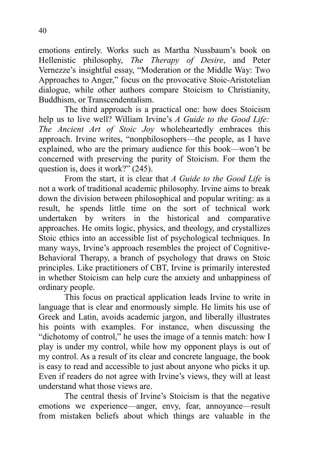emotions entirely. Works such as Martha Nussbaum's book on Hellenistic philosophy, *The Therapy of Desire*, and Peter Vernezze's insightful essay, "Moderation or the Middle Way: Two Approaches to Anger," focus on the provocative Stoic-Aristotelian dialogue, while other authors compare Stoicism to Christianity, Buddhism, or Transcendentalism.

The third approach is a practical one: how does Stoicism help us to live well? William Irvine's *A Guide to the Good Life: The Ancient Art of Stoic Joy* wholeheartedly embraces this approach. Irvine writes, "nonphilosophers—the people, as I have explained, who are the primary audience for this book—won't be concerned with preserving the purity of Stoicism. For them the question is, does it work?" (245).

From the start, it is clear that *A Guide to the Good Life* is not a work of traditional academic philosophy. Irvine aims to break down the division between philosophical and popular writing: as a result, he spends little time on the sort of technical work undertaken by writers in the historical and comparative approaches. He omits logic, physics, and theology, and crystallizes Stoic ethics into an accessible list of psychological techniques. In many ways, Irvine's approach resembles the project of Cognitive-Behavioral Therapy, a branch of psychology that draws on Stoic principles. Like practitioners of CBT, Irvine is primarily interested in whether Stoicism can help cure the anxiety and unhappiness of ordinary people.

This focus on practical application leads Irvine to write in language that is clear and enormously simple. He limits his use of Greek and Latin, avoids academic jargon, and liberally illustrates his points with examples. For instance, when discussing the "dichotomy of control," he uses the image of a tennis match: how I play is under my control, while how my opponent plays is out of my control. As a result of its clear and concrete language, the book is easy to read and accessible to just about anyone who picks it up. Even if readers do not agree with Irvine's views, they will at least understand what those views are.

The central thesis of Irvine's Stoicism is that the negative emotions we experience—anger, envy, fear, annoyance—result from mistaken beliefs about which things are valuable in the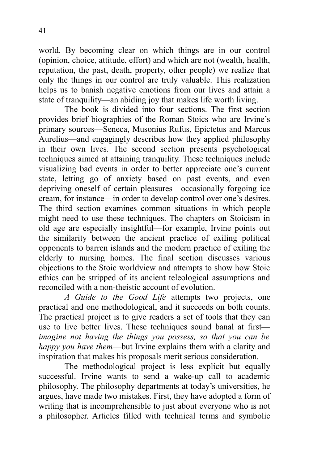world. By becoming clear on which things are in our control (opinion, choice, attitude, effort) and which are not (wealth, health, reputation, the past, death, property, other people) we realize that only the things in our control are truly valuable. This realization helps us to banish negative emotions from our lives and attain a state of tranquility—an abiding joy that makes life worth living.

The book is divided into four sections. The first section provides brief biographies of the Roman Stoics who are Irvine's primary sources—Seneca, Musonius Rufus, Epictetus and Marcus Aurelius—and engagingly describes how they applied philosophy in their own lives. The second section presents psychological techniques aimed at attaining tranquility. These techniques include visualizing bad events in order to better appreciate one's current state, letting go of anxiety based on past events, and even depriving oneself of certain pleasures—occasionally forgoing ice cream, for instance—in order to develop control over one's desires. The third section examines common situations in which people might need to use these techniques. The chapters on Stoicism in old age are especially insightful—for example, Irvine points out the similarity between the ancient practice of exiling political opponents to barren islands and the modern practice of exiling the elderly to nursing homes. The final section discusses various objections to the Stoic worldview and attempts to show how Stoic ethics can be stripped of its ancient teleological assumptions and reconciled with a non-theistic account of evolution.

*A Guide to the Good Life* attempts two projects, one practical and one methodological, and it succeeds on both counts. The practical project is to give readers a set of tools that they can use to live better lives. These techniques sound banal at first *imagine not having the things you possess, so that you can be happy you have them*—but Irvine explains them with a clarity and inspiration that makes his proposals merit serious consideration.

The methodological project is less explicit but equally successful. Irvine wants to send a wake-up call to academic philosophy. The philosophy departments at today's universities, he argues, have made two mistakes. First, they have adopted a form of writing that is incomprehensible to just about everyone who is not a philosopher. Articles filled with technical terms and symbolic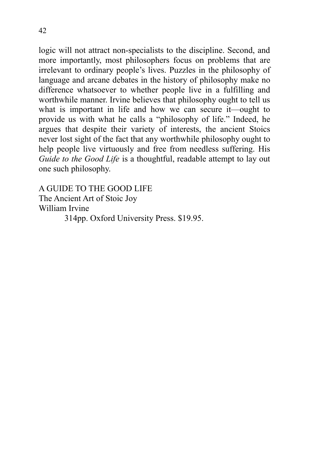logic will not attract non-specialists to the discipline. Second, and more importantly, most philosophers focus on problems that are irrelevant to ordinary people's lives. Puzzles in the philosophy of language and arcane debates in the history of philosophy make no difference whatsoever to whether people live in a fulfilling and worthwhile manner. Irvine believes that philosophy ought to tell us what is important in life and how we can secure it—ought to provide us with what he calls a "philosophy of life." Indeed, he argues that despite their variety of interests, the ancient Stoics never lost sight of the fact that any worthwhile philosophy ought to help people live virtuously and free from needless suffering. His *Guide to the Good Life* is a thoughtful, readable attempt to lay out

A GUIDE TO THE GOOD LIFE The Ancient Art of Stoic Joy William Irvine 314pp. Oxford University Press. \$19.95.

one such philosophy.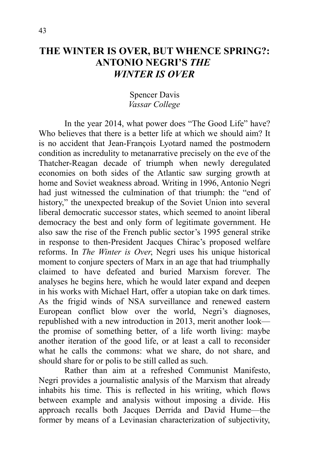## **THE WINTER IS OVER, BUT WHENCE SPRING?: ANTONIO NEGRI'S** *THE WINTER IS OVER*

#### Spencer Davis *Vassar College*

In the year 2014, what power does "The Good Life" have? Who believes that there is a better life at which we should aim? It is no accident that Jean-François Lyotard named the postmodern condition as incredulity to metanarrative precisely on the eve of the Thatcher-Reagan decade of triumph when newly deregulated economies on both sides of the Atlantic saw surging growth at home and Soviet weakness abroad. Writing in 1996, Antonio Negri had just witnessed the culmination of that triumph: the "end of history," the unexpected breakup of the Soviet Union into several liberal democratic successor states, which seemed to anoint liberal democracy the best and only form of legitimate government. He also saw the rise of the French public sector's 1995 general strike in response to then-President Jacques Chirac's proposed welfare reforms. In *The Winter is Over*, Negri uses his unique historical moment to conjure specters of Marx in an age that had triumphally claimed to have defeated and buried Marxism forever. The analyses he begins here, which he would later expand and deepen in his works with Michael Hart, offer a utopian take on dark times. As the frigid winds of NSA surveillance and renewed eastern European conflict blow over the world, Negri's diagnoses, republished with a new introduction in 2013, merit another look the promise of something better, of a life worth living: maybe another iteration of the good life, or at least a call to reconsider what he calls the commons: what we share, do not share, and should share for or polis to be still called as such.

Rather than aim at a refreshed Communist Manifesto, Negri provides a journalistic analysis of the Marxism that already inhabits his time. This is reflected in his writing, which flows between example and analysis without imposing a divide. His approach recalls both Jacques Derrida and David Hume—the former by means of a Levinasian characterization of subjectivity,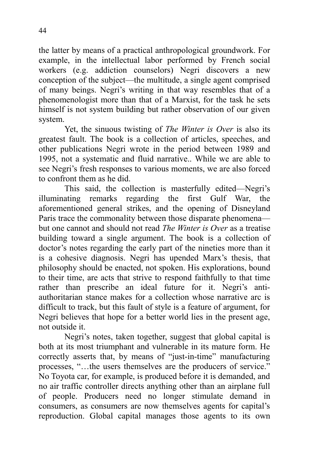the latter by means of a practical anthropological groundwork. For example, in the intellectual labor performed by French social workers (e.g. addiction counselors) Negri discovers a new conception of the subject—the multitude, a single agent comprised of many beings. Negri's writing in that way resembles that of a phenomenologist more than that of a Marxist, for the task he sets himself is not system building but rather observation of our given system.

Yet, the sinuous twisting of *The Winter is Over* is also its greatest fault. The book is a collection of articles, speeches, and other publications Negri wrote in the period between 1989 and 1995, not a systematic and fluid narrative.. While we are able to see Negri's fresh responses to various moments, we are also forced to confront them as he did.

This said, the collection is masterfully edited—Negri's illuminating remarks regarding the first Gulf War, the aforementioned general strikes, and the opening of Disneyland Paris trace the commonality between those disparate phenomena but one cannot and should not read *The Winter is Over* as a treatise building toward a single argument. The book is a collection of doctor's notes regarding the early part of the nineties more than it is a cohesive diagnosis. Negri has upended Marx's thesis, that philosophy should be enacted, not spoken. His explorations, bound to their time, are acts that strive to respond faithfully to that time rather than prescribe an ideal future for it. Negri's antiauthoritarian stance makes for a collection whose narrative arc is difficult to track, but this fault of style is a feature of argument, for Negri believes that hope for a better world lies in the present age, not outside it.

Negri's notes, taken together, suggest that global capital is both at its most triumphant and vulnerable in its mature form. He correctly asserts that, by means of "just-in-time" manufacturing processes, "…the users themselves are the producers of service." No Toyota car, for example, is produced before it is demanded, and no air traffic controller directs anything other than an airplane full of people. Producers need no longer stimulate demand in consumers, as consumers are now themselves agents for capital's reproduction. Global capital manages those agents to its own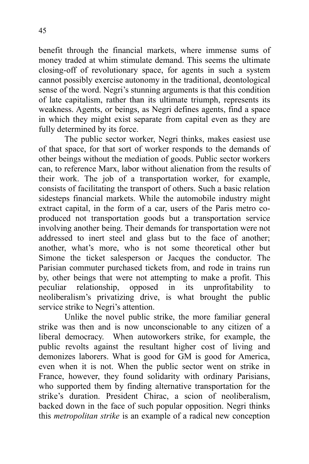benefit through the financial markets, where immense sums of money traded at whim stimulate demand. This seems the ultimate closing-off of revolutionary space, for agents in such a system cannot possibly exercise autonomy in the traditional, deontological sense of the word. Negri's stunning arguments is that this condition of late capitalism, rather than its ultimate triumph, represents its weakness. Agents, or beings, as Negri defines agents, find a space in which they might exist separate from capital even as they are fully determined by its force.

The public sector worker, Negri thinks, makes easiest use of that space, for that sort of worker responds to the demands of other beings without the mediation of goods. Public sector workers can, to reference Marx, labor without alienation from the results of their work. The job of a transportation worker, for example, consists of facilitating the transport of others. Such a basic relation sidesteps financial markets. While the automobile industry might extract capital, in the form of a car, users of the Paris metro coproduced not transportation goods but a transportation service involving another being. Their demands for transportation were not addressed to inert steel and glass but to the face of another; another, what's more, who is not some theoretical other but Simone the ticket salesperson or Jacques the conductor. The Parisian commuter purchased tickets from, and rode in trains run by, other beings that were not attempting to make a profit. This peculiar relationship, opposed in its unprofitability to neoliberalism's privatizing drive, is what brought the public service strike to Negri's attention.

Unlike the novel public strike, the more familiar general strike was then and is now unconscionable to any citizen of a liberal democracy. When autoworkers strike, for example, the public revolts against the resultant higher cost of living and demonizes laborers. What is good for GM is good for America, even when it is not. When the public sector went on strike in France, however, they found solidarity with ordinary Parisians, who supported them by finding alternative transportation for the strike's duration. President Chirac, a scion of neoliberalism, backed down in the face of such popular opposition. Negri thinks this *metropolitan strike* is an example of a radical new conception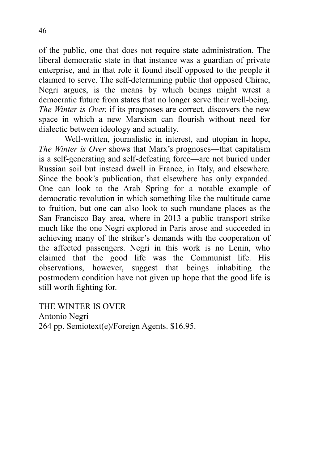of the public, one that does not require state administration. The liberal democratic state in that instance was a guardian of private enterprise, and in that role it found itself opposed to the people it claimed to serve. The self-determining public that opposed Chirac, Negri argues, is the means by which beings might wrest a democratic future from states that no longer serve their well-being. *The Winter is Over*, if its prognoses are correct, discovers the new space in which a new Marxism can flourish without need for dialectic between ideology and actuality.

Well-written, journalistic in interest, and utopian in hope, *The Winter is Over* shows that Marx's prognoses—that capitalism is a self-generating and self-defeating force—are not buried under Russian soil but instead dwell in France, in Italy, and elsewhere. Since the book's publication, that elsewhere has only expanded. One can look to the Arab Spring for a notable example of democratic revolution in which something like the multitude came to fruition, but one can also look to such mundane places as the San Francisco Bay area, where in 2013 a public transport strike much like the one Negri explored in Paris arose and succeeded in achieving many of the striker's demands with the cooperation of the affected passengers. Negri in this work is no Lenin, who claimed that the good life was the Communist life. His observations, however, suggest that beings inhabiting the postmodern condition have not given up hope that the good life is still worth fighting for.

THE WINTER IS OVER Antonio Negri 264 pp. Semiotext(e)/Foreign Agents. \$16.95.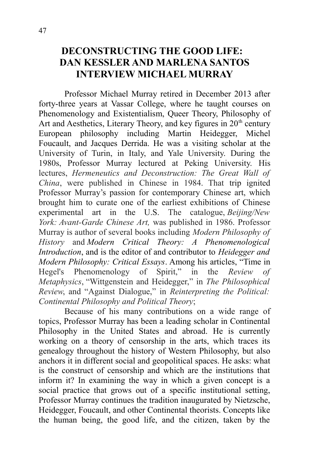## **DECONSTRUCTING THE GOOD LIFE: DAN KESSLER AND MARLENA SANTOS INTERVIEW MICHAEL MURRAY**

Professor Michael Murray retired in December 2013 after forty-three years at Vassar College, where he taught courses on Phenomenology and Existentialism, Queer Theory, Philosophy of Art and Aesthetics, Literary Theory, and key figures in  $20<sup>th</sup>$  century European philosophy including Martin Heidegger, Michel Foucault, and Jacques Derrida. He was a visiting scholar at the University of Turin, in Italy, and Yale University. During the 1980s, Professor Murray lectured at Peking University. His lectures, *Hermeneutics and Deconstruction: The Great Wall of China*, were published in Chinese in 1984. That trip ignited Professor Murray's passion for contemporary Chinese art, which brought him to curate one of the earliest exhibitions of Chinese experimental art in the U.S. The catalogue, *Beijing/New York: Avant-Garde Chinese Art,* was published in 1986. Professor Murray is author of several books including *Modern Philosophy of History* and *Modern Critical Theory: A Phenomenological Introduction*, and is the editor of and contributor to *Heidegger and Modern Philosophy: Critical Essays*. Among his articles, "Time in Hegel's Phenomenology of Spirit," in the *Review of Metaphysics*, "Wittgenstein and Heidegger," in *The Philosophical Review*, and "Against Dialogue," in *Reinterpreting the Political: Continental Philosophy and Political Theory*;

Because of his many contributions on a wide range of topics, Professor Murray has been a leading scholar in Continental Philosophy in the United States and abroad. He is currently working on a theory of censorship in the arts, which traces its genealogy throughout the history of Western Philosophy, but also anchors it in different social and geopolitical spaces. He asks: what is the construct of censorship and which are the institutions that inform it? In examining the way in which a given concept is a social practice that grows out of a specific institutional setting, Professor Murray continues the tradition inaugurated by Nietzsche, Heidegger, Foucault, and other Continental theorists. Concepts like the human being, the good life, and the citizen, taken by the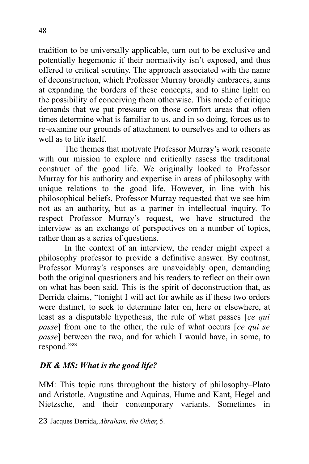tradition to be universally applicable, turn out to be exclusive and potentially hegemonic if their normativity isn't exposed, and thus offered to critical scrutiny. The approach associated with the name of deconstruction, which Professor Murray broadly embraces, aims at expanding the borders of these concepts, and to shine light on the possibility of conceiving them otherwise. This mode of critique demands that we put pressure on those comfort areas that often times determine what is familiar to us, and in so doing, forces us to re-examine our grounds of attachment to ourselves and to others as well as to life itself.

The themes that motivate Professor Murray's work resonate with our mission to explore and critically assess the traditional construct of the good life. We originally looked to Professor Murray for his authority and expertise in areas of philosophy with unique relations to the good life. However, in line with his philosophical beliefs, Professor Murray requested that we see him not as an authority, but as a partner in intellectual inquiry. To respect Professor Murray's request, we have structured the interview as an exchange of perspectives on a number of topics, rather than as a series of questions.

In the context of an interview, the reader might expect a philosophy professor to provide a definitive answer. By contrast, Professor Murray's responses are unavoidably open, demanding both the original questioners and his readers to reflect on their own on what has been said. This is the spirit of deconstruction that, as Derrida claims, "tonight I will act for awhile as if these two orders were distinct, to seek to determine later on, here or elsewhere, at least as a disputable hypothesis, the rule of what passes [*ce qui passe*] from one to the other, the rule of what occurs [*ce qui se passe*] between the two, and for which I would have, in some, to respond."[23](#page-52-0)

#### *DK & MS: What is the good life?*

MM: This topic runs throughout the history of philosophy–Plato and Aristotle, Augustine and Aquinas, Hume and Kant, Hegel and Nietzsche, and their contemporary variants. Sometimes in

<span id="page-52-0"></span><sup>23</sup> Jacques Derrida, *Abraham, the Other*, 5.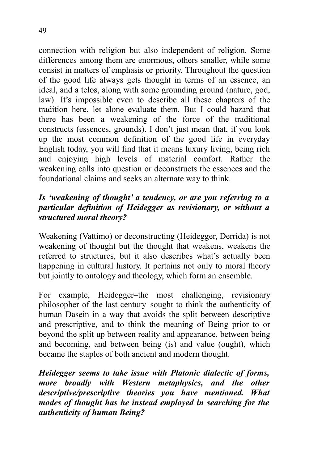connection with religion but also independent of religion. Some differences among them are enormous, others smaller, while some consist in matters of emphasis or priority. Throughout the question of the good life always gets thought in terms of an essence, an ideal, and a telos, along with some grounding ground (nature, god, law). It's impossible even to describe all these chapters of the tradition here, let alone evaluate them. But I could hazard that there has been a weakening of the force of the traditional constructs (essences, grounds). I don't just mean that, if you look up the most common definition of the good life in everyday English today, you will find that it means luxury living, being rich and enjoying high levels of material comfort. Rather the weakening calls into question or deconstructs the essences and the foundational claims and seeks an alternate way to think.

#### *Is 'weakening of thought' a tendency, or are you referring to a particular definition of Heidegger as revisionary, or without a structured moral theory?*

Weakening (Vattimo) or deconstructing (Heidegger, Derrida) is not weakening of thought but the thought that weakens, weakens the referred to structures, but it also describes what's actually been happening in cultural history. It pertains not only to moral theory but jointly to ontology and theology, which form an ensemble.

For example, Heidegger–the most challenging, revisionary philosopher of the last century–sought to think the authenticity of human Dasein in a way that avoids the split between descriptive and prescriptive, and to think the meaning of Being prior to or beyond the split up between reality and appearance, between being and becoming, and between being (is) and value (ought), which became the staples of both ancient and modern thought.

*Heidegger seems to take issue with Platonic dialectic of forms, more broadly with Western metaphysics, and the other descriptive/prescriptive theories you have mentioned. What modes of thought has he instead employed in searching for the authenticity of human Being?*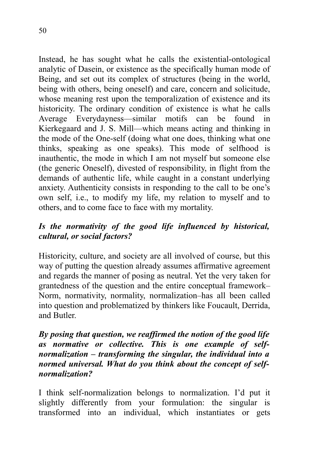Instead, he has sought what he calls the existential-ontological analytic of Dasein, or existence as the specifically human mode of Being, and set out its complex of structures (being in the world, being with others, being oneself) and care, concern and solicitude,

whose meaning rest upon the temporalization of existence and its historicity. The ordinary condition of existence is what he calls Average Everydayness—similar motifs can be found in Kierkegaard and J. S. Mill—which means acting and thinking in the mode of the One-self (doing what one does, thinking what one thinks, speaking as one speaks). This mode of selfhood is inauthentic, the mode in which I am not myself but someone else (the generic Oneself), divested of responsibility, in flight from the demands of authentic life, while caught in a constant underlying anxiety. Authenticity consists in responding to the call to be one's own self, i.e., to modify my life, my relation to myself and to others, and to come face to face with my mortality.

#### *Is the normativity of the good life influenced by historical, cultural, or social factors?*

Historicity, culture, and society are all involved of course, but this way of putting the question already assumes affirmative agreement and regards the manner of posing as neutral. Yet the very taken for grantedness of the question and the entire conceptual framework– Norm, normativity, normality, normalization–has all been called into question and problematized by thinkers like Foucault, Derrida, and Butler.

#### *By posing that question, we reaffirmed the notion of the good life as normative or collective. This is one example of selfnormalization – transforming the singular, the individual into a normed universal. What do you think about the concept of selfnormalization?*

I think self-normalization belongs to normalization. I'd put it slightly differently from your formulation: the singular is transformed into an individual, which instantiates or gets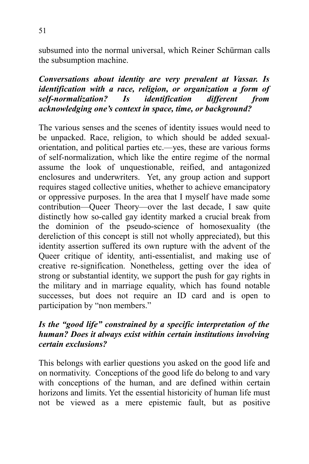subsumed into the normal universal, which Reiner Schürman calls the subsumption machine.

#### *Conversations about identity are very prevalent at Vassar. Is identification with a race, religion, or organization a form of self-normalization? Is identification different from acknowledging one's context in space, time, or background?*

The various senses and the scenes of identity issues would need to be unpacked. Race, religion, to which should be added sexualorientation, and political parties etc.—yes, these are various forms of self-normalization, which like the entire regime of the normal assume the look of unquestionable, reified, and antagonized enclosures and underwriters. Yet, any group action and support requires staged collective unities, whether to achieve emancipatory or oppressive purposes. In the area that I myself have made some contribution—Queer Theory—over the last decade, I saw quite distinctly how so-called gay identity marked a crucial break from the dominion of the pseudo-science of homosexuality (the dereliction of this concept is still not wholly appreciated), but this identity assertion suffered its own rupture with the advent of the Queer critique of identity, anti-essentialist, and making use of creative re-signification. Nonetheless, getting over the idea of strong or substantial identity, we support the push for gay rights in the military and in marriage equality, which has found notable successes, but does not require an ID card and is open to participation by "non members."

#### *Is the "good life" constrained by a specific interpretation of the human? Does it always exist within certain institutions involving certain exclusions?*

This belongs with earlier questions you asked on the good life and on normativity. Conceptions of the good life do belong to and vary with conceptions of the human, and are defined within certain horizons and limits. Yet the essential historicity of human life must not be viewed as a mere epistemic fault, but as positive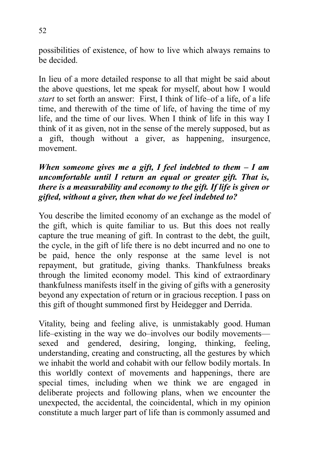possibilities of existence, of how to live which always remains to be decided.

In lieu of a more detailed response to all that might be said about the above questions, let me speak for myself, about how I would *start* to set forth an answer: First, I think of life–of a life, of a life time, and therewith of the time of life, of having the time of my life, and the time of our lives. When I think of life in this way I think of it as given, not in the sense of the merely supposed, but as a gift, though without a giver, as happening, insurgence, movement.

#### *When someone gives me a gift, I feel indebted to them – I am uncomfortable until I return an equal or greater gift. That is, there is a measurability and economy to the gift. If life is given or gifted, without a giver, then what do we feel indebted to?*

You describe the limited economy of an exchange as the model of the gift, which is quite familiar to us. But this does not really capture the true meaning of gift. In contrast to the debt, the guilt, the cycle, in the gift of life there is no debt incurred and no one to be paid, hence the only response at the same level is not repayment, but gratitude, giving thanks. Thankfulness breaks through the limited economy model. This kind of extraordinary thankfulness manifests itself in the giving of gifts with a generosity beyond any expectation of return or in gracious reception. I pass on this gift of thought summoned first by Heidegger and Derrida.

Vitality, being and feeling alive, is unmistakably good. Human life–existing in the way we do–involves our bodily movements sexed and gendered, desiring, longing, thinking, feeling, understanding, creating and constructing, all the gestures by which we inhabit the world and cohabit with our fellow bodily mortals. In this worldly context of movements and happenings, there are special times, including when we think we are engaged in deliberate projects and following plans, when we encounter the unexpected, the accidental, the coincidental, which in my opinion constitute a much larger part of life than is commonly assumed and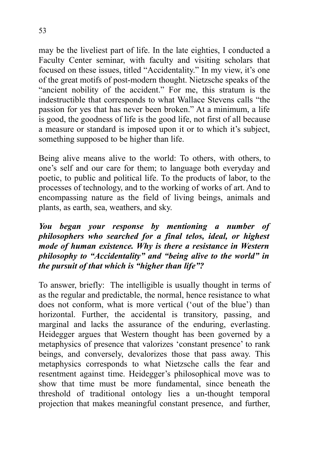may be the liveliest part of life. In the late eighties, I conducted a Faculty Center seminar, with faculty and visiting scholars that focused on these issues, titled "Accidentality." In my view, it's one of the great motifs of post-modern thought. Nietzsche speaks of the "ancient nobility of the accident." For me, this stratum is the indestructible that corresponds to what Wallace Stevens calls "the passion for yes that has never been broken." At a minimum, a life is good, the goodness of life is the good life, not first of all because a measure or standard is imposed upon it or to which it's subject, something supposed to be higher than life.

Being alive means alive to the world: To others, with others, to one's self and our care for them; to language both everyday and poetic, to public and political life. To the products of labor, to the processes of technology, and to the working of works of art. And to encompassing nature as the field of living beings, animals and plants, as earth, sea, weathers, and sky.

#### *You began your response by mentioning a number of philosophers who searched for a final telos, ideal, or highest mode of human existence. Why is there a resistance in Western philosophy to "Accidentality" and "being alive to the world" in the pursuit of that which is "higher than life"?*

To answer, briefly: The intelligible is usually thought in terms of as the regular and predictable, the normal, hence resistance to what does not conform, what is more vertical ('out of the blue') than horizontal. Further, the accidental is transitory, passing, and marginal and lacks the assurance of the enduring, everlasting. Heidegger argues that Western thought has been governed by a metaphysics of presence that valorizes 'constant presence' to rank beings, and conversely, devalorizes those that pass away. This metaphysics corresponds to what Nietzsche calls the fear and resentment against time. Heidegger's philosophical move was to show that time must be more fundamental, since beneath the threshold of traditional ontology lies a un-thought temporal projection that makes meaningful constant presence, and further,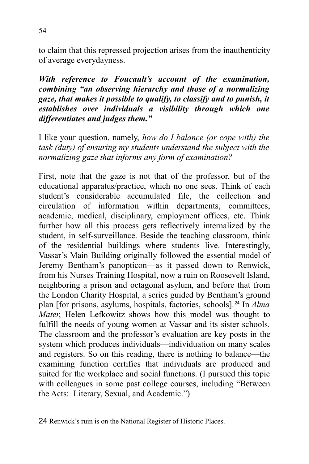to claim that this repressed projection arises from the inauthenticity of average everydayness.

*With reference to Foucault's account of the examination, combining "an observing hierarchy and those of a normalizing gaze, that makes it possible to qualify, to classify and to punish, it establishes over individuals a visibility through which one differentiates and judges them."* 

I like your question, namely, *how do I balance (or cope with) the task (duty) of ensuring my students understand the subject with the normalizing gaze that informs any form of examination?*

First, note that the gaze is not that of the professor, but of the educational apparatus/practice, which no one sees. Think of each student's considerable accumulated file, the collection and circulation of information within departments, committees, academic, medical, disciplinary, employment offices, etc. Think further how all this process gets reflectively internalized by the student, in self-surveillance. Beside the teaching classroom, think of the residential buildings where students live. Interestingly, Vassar's Main Building originally followed the essential model of Jeremy Bentham's panopticon—as it passed down to Renwick, from his Nurses Training Hospital, now a ruin on Roosevelt Island, neighboring a prison and octagonal asylum, and before that from the London Charity Hospital, a series guided by Bentham's ground plan [for prisons, asylums, hospitals, factories, schools].[24](#page-58-0) In *Alma Mater*, Helen Lefkowitz shows how this model was thought to fulfill the needs of young women at Vassar and its sister schools. The classroom and the professor's evaluation are key posts in the system which produces individuals—individuation on many scales and registers. So on this reading, there is nothing to balance—the examining function certifies that individuals are produced and suited for the workplace and social functions. (I pursued this topic with colleagues in some past college courses, including "Between the Acts: Literary, Sexual, and Academic.")

<span id="page-58-0"></span><sup>24</sup> Renwick's ruin is on the National Register of Historic Places.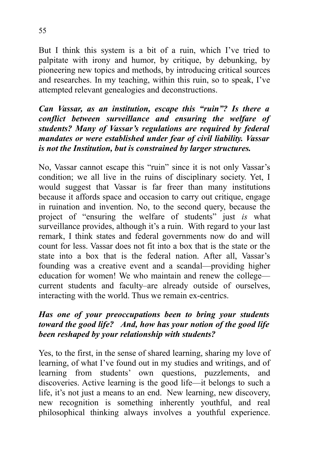But I think this system is a bit of a ruin, which I've tried to palpitate with irony and humor, by critique, by debunking, by pioneering new topics and methods, by introducing critical sources and researches. In my teaching, within this ruin, so to speak, I've attempted relevant genealogies and deconstructions.

#### *Can Vassar, as an institution, escape this "ruin"? Is there a conflict between surveillance and ensuring the welfare of students? Many of Vassar's regulations are required by federal mandates or were established under fear of civil liability. Vassar is not the Institution, but is constrained by larger structures.*

No, Vassar cannot escape this "ruin" since it is not only Vassar's condition; we all live in the ruins of disciplinary society. Yet, I would suggest that Vassar is far freer than many institutions because it affords space and occasion to carry out critique, engage in ruination and invention. No, to the second query, because the project of "ensuring the welfare of students" just *is* what surveillance provides, although it's a ruin. With regard to your last remark, I think states and federal governments now do and will count for less. Vassar does not fit into a box that is the state or the state into a box that is the federal nation. After all, Vassar's founding was a creative event and a scandal—providing higher education for women! We who maintain and renew the college current students and faculty–are already outside of ourselves, interacting with the world. Thus we remain ex-centrics.

#### *Has one of your preoccupations been to bring your students toward the good life? And, how has your notion of the good life been reshaped by your relationship with students?*

Yes, to the first, in the sense of shared learning, sharing my love of learning, of what I've found out in my studies and writings, and of learning from students' own questions, puzzlements, and discoveries. Active learning is the good life—it belongs to such a life, it's not just a means to an end. New learning, new discovery, new recognition is something inherently youthful, and real philosophical thinking always involves a youthful experience.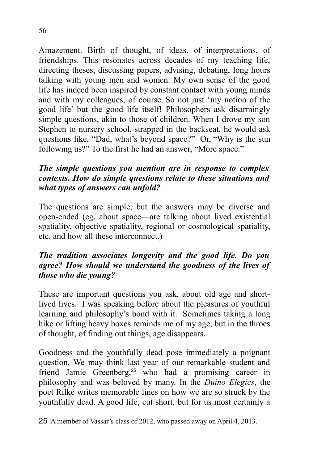Amazement. Birth of thought, of ideas, of interpretations, of friendships. This resonates across decades of my teaching life, directing theses, discussing papers, advising, debating, long hours talking with young men and women. My own sense of the good life has indeed been inspired by constant contact with young minds and with my colleagues, of course. So not just 'my notion of the good life' but the good life itself! Philosophers ask disarmingly simple questions, akin to those of children. When I drove my son Stephen to nursery school, strapped in the backseat, he would ask questions like, "Dad, what's beyond space?" Or, "Why is the sun following us?" To the first he had an answer, "More space."

#### *The simple questions you mention are in response to complex contexts. How do simple questions relate to these situations and what types of answers can unfold?*

The questions are simple, but the answers may be diverse and open-ended (eg. about space—are talking about lived existential spatiality, objective spatiality, regional or cosmological spatiality, etc. and how all these interconnect.)

#### *The tradition associates longevity and the good life. Do you agree? How should we understand the goodness of the lives of those who die young?*

These are important questions you ask, about old age and shortlived lives. I was speaking before about the pleasures of youthful learning and philosophy's bond with it. Sometimes taking a long hike or lifting heavy boxes reminds me of my age, but in the throes of thought, of finding out things, age disappears.

Goodness and the youthfully dead pose immediately a poignant question. We may think last year of our remarkable student and friend Jamie Greenberg,<sup>[25](#page-60-0)</sup> who had a promising career in philosophy and was beloved by many. In the *Duino Elegies*, the poet Rilke writes memorable lines on how we are so struck by the youthfully dead. A good life, cut short, but for us most certainly a

<span id="page-60-0"></span><sup>25</sup> A member of Vassar's class of 2012, who passed away on April 4, 2013.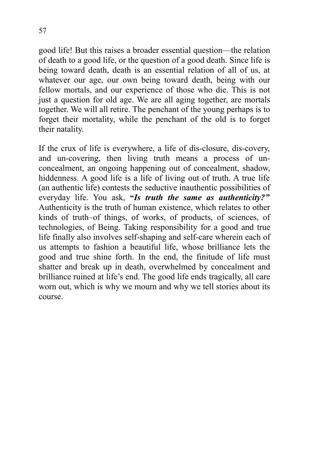good life! But this raises a broader essential question—the relation of death to a good life, or the question of a good death. Since life is being toward death, death is an essential relation of all of us, at whatever our age, our own being toward death, being with our fellow mortals, and our experience of those who die. This is not just a question for old age. We are all aging together, are mortals together. We will all retire. The penchant of the young perhaps is to forget their mortality, while the penchant of the old is to forget their natality.

If the crux of life is everywhere, a life of dis-closure, dis-covery, and un-covering, then living truth means a process of unconcealment, an ongoing happening out of concealment, shadow, hiddenness. A good life is a life of living out of truth. A true life (an authentic life) contests the seductive inauthentic possibilities of everyday life. You ask, **"***Is truth the same as authenticity?"* Authenticity is the truth of human existence, which relates to other kinds of truth–of things, of works, of products, of sciences, of technologies, of Being. Taking responsibility for a good and true life finally also involves self-shaping and self-care wherein each of us attempts to fashion a beautiful life, whose brilliance lets the good and true shine forth. In the end, the finitude of life must shatter and break up in death, overwhelmed by concealment and brilliance ruined at life's end. The good life ends tragically, all care worn out, which is why we mourn and why we tell stories about its course.